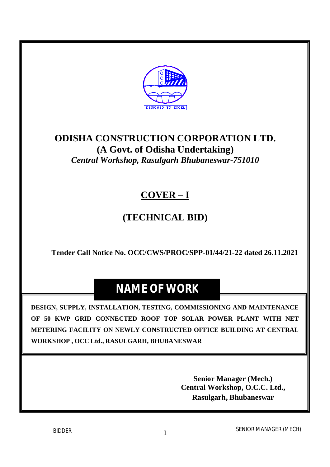

## **ODISHA CONSTRUCTION CORPORATION LTD. (A Govt. of Odisha Undertaking)** *Central Workshop, Rasulgarh Bhubaneswar-751010*

# **COVER – I**

# **(TECHNICAL BID)**

**Tender Call Notice No. OCC/CWS/PROC/SPP-01/44/21-22 dated 26.11.2021**

# **NAME OF WORK**

**DESIGN, SUPPLY, INSTALLATION, TESTING, COMMISSIONING AND MAINTENANCE OF 50 KWP GRID CONNECTED ROOF TOP SOLAR POWER PLANT WITH NET METERING FACILITY ON NEWLY CONSTRUCTED OFFICE BUILDING AT CENTRAL WORKSHOP , OCC Ltd., RASULGARH, BHUBANESWAR**

> **Senior Manager (Mech.) Central Workshop, O.C.C. Ltd., Rasulgarh, Bhubaneswar**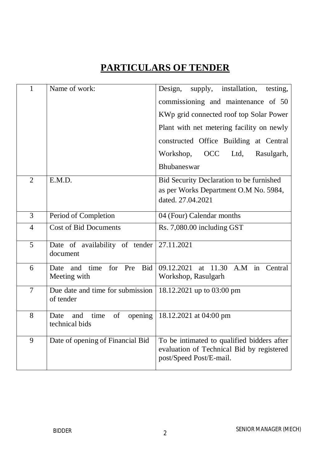# **PARTICULARS OF TENDER**

| 1              | Name of work:                                          | supply, installation,<br>Design,<br>testing,                                                                       |
|----------------|--------------------------------------------------------|--------------------------------------------------------------------------------------------------------------------|
|                |                                                        | commissioning and maintenance of 50                                                                                |
|                |                                                        | KWp grid connected roof top Solar Power                                                                            |
|                |                                                        | Plant with net metering facility on newly                                                                          |
|                |                                                        | constructed Office Building at Central                                                                             |
|                |                                                        | Workshop,<br><b>OCC</b><br>Ltd,<br>Rasulgarh,                                                                      |
|                |                                                        | Bhubaneswar                                                                                                        |
| $\overline{2}$ | E.M.D.                                                 | Bid Security Declaration to be furnished                                                                           |
|                |                                                        | as per Works Department O.M No. 5984,<br>dated. 27,04,2021                                                         |
|                |                                                        |                                                                                                                    |
| 3              | Period of Completion                                   | 04 (Four) Calendar months                                                                                          |
| $\overline{4}$ | <b>Cost of Bid Documents</b>                           | Rs. 7,080.00 including GST                                                                                         |
| 5              | Date of availability of tender<br>document             | 27.11.2021                                                                                                         |
| 6              | time<br>for Pre<br>Bid<br>and<br>Date                  | A.M in Central<br>09.12.2021<br>11.30<br>at                                                                        |
|                | Meeting with                                           | Workshop, Rasulgarh                                                                                                |
| $\overline{7}$ | Due date and time for submission<br>of tender          | 18.12.2021 up to 03:00 pm                                                                                          |
| 8              | of<br>Date<br>time<br>opening<br>and<br>technical bids | 18.12.2021 at 04:00 pm                                                                                             |
| 9              | Date of opening of Financial Bid                       | To be intimated to qualified bidders after<br>evaluation of Technical Bid by registered<br>post/Speed Post/E-mail. |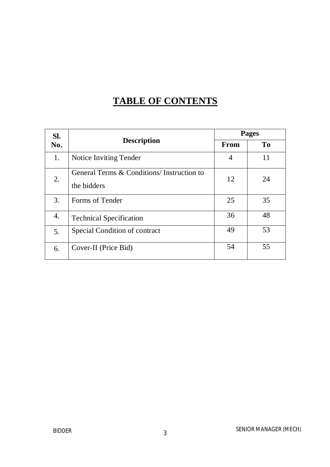# **TABLE OF CONTENTS**

| SI. |                                                          |      | <b>Pages</b>   |
|-----|----------------------------------------------------------|------|----------------|
| No. | <b>Description</b>                                       | From | T <sub>0</sub> |
| 1.  | Notice Inviting Tender                                   | 4    | 11             |
| 2.  | General Terms & Conditions/Instruction to<br>the bidders | 12   | 24             |
| 3.  | Forms of Tender                                          | 25   | 35             |
| 4.  | <b>Technical Specification</b>                           | 36   | 48             |
| 5.  | Special Condition of contract                            | 49   | 53             |
| 6.  | Cover-II (Price Bid)                                     | 54   | 55             |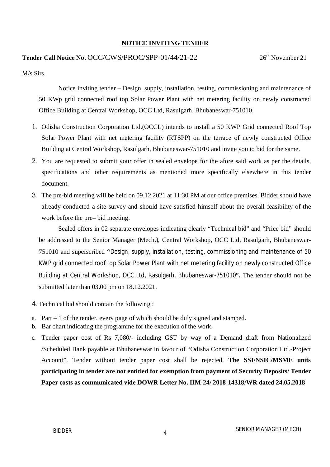#### **NOTICE INVITING TENDER**

#### **Tender Call Notice No. OCC/CWS/PROC/SPP-01/44/21-22** 26<sup>th</sup> November 21

M/s Sirs,

Notice inviting tender – Design, supply, installation, testing, commissioning and maintenance of 50 KWp grid connected roof top Solar Power Plant with net metering facility on newly constructed Office Building at Central Workshop, OCC Ltd, Rasulgarh, Bhubaneswar-751010.

- 1. Odisha Construction Corporation Ltd.(OCCL) intends to install a 50 KWP Grid connected Roof Top Solar Power Plant with net metering facility (RTSPP) on the terrace of newly constructed Office Building at Central Workshop, Rasulgarh, Bhubaneswar-751010 and invite you to bid for the same.
- 2. You are requested to submit your offer in sealed envelope for the afore said work as per the details, specifications and other requirements as mentioned more specifically elsewhere in this tender document.
- 3. The pre-bid meeting will be held on 09.12.2021 at 11:30 PM at our office premises. Bidder should have already conducted a site survey and should have satisfied himself about the overall feasibility of the work before the pre– bid meeting.

Sealed offers in 02 separate envelopes indicating clearly "Technical bid" and "Price bid" should be addressed to the Senior Manager (Mech.), Central Workshop, OCC Ltd, Rasulgarh, Bhubaneswar-751010 and superscribed **"**Design, supply, installation, testing, commissioning and maintenance of 50 KWP grid connected roof top Solar Power Plant with net metering facility on newly constructed Office Building at Central Workshop, OCC Ltd, Rasulgarh, Bhubaneswar-751010"**.** The tender should not be submitted later than 03.00 pm on 18.12.2021.

- 4. Technical bid should contain the following :
- a. Part 1 of the tender, every page of which should be duly signed and stamped.
- b. Bar chart indicating the programme for the execution of the work.
- c. Tender paper cost of Rs 7,080/- including GST by way of a Demand draft from Nationalized /Scheduled Bank payable at Bhubaneswar in favour of "Odisha Construction Corporation Ltd.-Project Account". Tender without tender paper cost shall be rejected. **The SSI/NSIC/MSME units participating in tender are not entitled for exemption from payment of Security Deposits/ Tender Paper costs as communicated vide DOWR Letter No. IIM-24/ 2018-14318/WR dated 24.05.2018**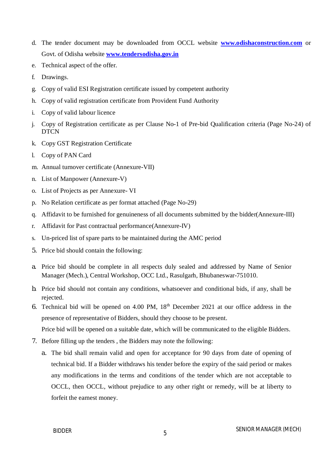- d. The tender document may be downloaded from OCCL website **www.odishaconstruction.com** or Govt. of Odisha website **www.tendersodisha.gov.in**
- e. Technical aspect of the offer.
- f. Drawings.
- g. Copy of valid ESI Registration certificate issued by competent authority
- h. Copy of valid registration certificate from Provident Fund Authority
- i. Copy of valid labour licence
- j. Copy of Registration certificate as per Clause No-1 of Pre-bid Qualification criteria (Page No-24) of DTCN
- k. Copy GST Registration Certificate
- l. Copy of PAN Card
- m. Annual turnover certificate (Annexure-VII)
- n. List of Manpower (Annexure-V)
- o. List of Projects as per Annexure- VI
- p. No Relation certificate as per format attached (Page No-29)
- q. Affidavit to be furnished for genuineness of all documents submitted by the bidder(Annexure-III)
- r. Affidavit for Past contractual performance(Annexure-IV)
- s. Un-priced list of spare parts to be maintained during the AMC period
- 5. Price bid should contain the following:
- a. Price bid should be complete in all respects duly sealed and addressed by Name of Senior Manager (Mech.), Central Workshop, OCC Ltd., Rasulgarh, Bhubaneswar-751010.
- b. Price bid should not contain any conditions, whatsoever and conditional bids, if any, shall be rejected.
- 6. Technical bid will be opened on  $4.00$  PM,  $18<sup>th</sup>$  December 2021 at our office address in the presence of representative of Bidders, should they choose to be present.

Price bid will be opened on a suitable date, which will be communicated to the eligible Bidders.

- 7. Before filling up the tenders , the Bidders may note the following:
	- a. The bid shall remain valid and open for acceptance for 90 days from date of opening of technical bid. If a Bidder withdraws his tender before the expiry of the said period or makes any modifications in the terms and conditions of the tender which are not acceptable to OCCL, then OCCL, without prejudice to any other right or remedy, will be at liberty to forfeit the earnest money.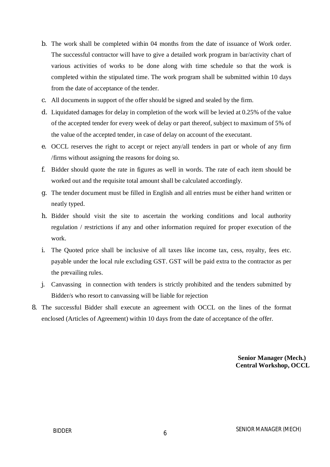- b. The work shall be completed within 04 months from the date of issuance of Work order. The successful contractor will have to give a detailed work program in bar/activity chart of various activities of works to be done along with time schedule so that the work is completed within the stipulated time. The work program shall be submitted within 10 days from the date of acceptance of the tender.
- c. All documents in support of the offer should be signed and sealed by the firm.
- d. Liquidated damages for delay in completion of the work will be levied at 0.25% of the value of the accepted tender for every week of delay or part thereof, subject to maximum of 5% of the value of the accepted tender, in case of delay on account of the executant.
- e. OCCL reserves the right to accept or reject any/all tenders in part or whole of any firm /firms without assigning the reasons for doing so.
- f. Bidder should quote the rate in figures as well in words. The rate of each item should be worked out and the requisite total amount shall be calculated accordingly.
- g. The tender document must be filled in English and all entries must be either hand written or neatly typed.
- h. Bidder should visit the site to ascertain the working conditions and local authority regulation / restrictions if any and other information required for proper execution of the work.
- i. The Quoted price shall be inclusive of all taxes like income tax, cess, royalty, fees etc. payable under the local rule excluding GST. GST will be paid extra to the contractor as per the prevailing rules.
- j. Canvassing in connection with tenders is strictly prohibited and the tenders submitted by Bidder/s who resort to canvassing will be liable for rejection
- 8. The successful Bidder shall execute an agreement with OCCL on the lines of the format enclosed (Articles of Agreement) within 10 days from the date of acceptance of the offer.

 **Senior Manager (Mech.) Central Workshop, OCCL**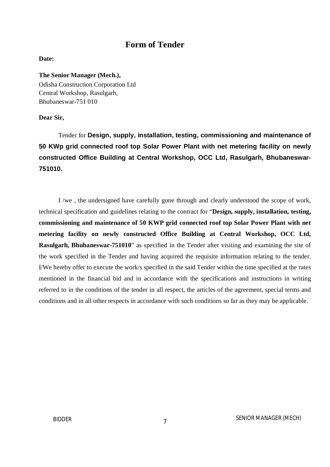### **Form of Tender**

#### **Date:**

#### **The Senior Manager (Mech.),**

Odisha Construction Corporation Ltd Central Workshop, Rasulgarh, Bhubaneswar-751 010

#### **Dear Sir,**

Tender for **Design, supply, installation, testing, commissioning and maintenance of 50 KWp grid connected roof top Solar Power Plant with net metering facility on newly constructed Office Building at Central Workshop, OCC Ltd, Rasulgarh, Bhubaneswar-751010.**

I /we , the undersigned have carefully gone through and clearly understood the scope of work, technical specification and guidelines relating to the contract for "**Design, supply, installation, testing, commissioning and maintenance of 50 KWP grid connected roof top Solar Power Plant with net metering facility on newly constructed Office Building at Central Workshop, OCC Ltd, Rasulgarh, Bhubaneswar-751010**" as specified in the Tender after visiting and examining the site of the work specified in the Tender and having acquired the requisite information relating to the tender. I/We hereby offer to execute the work/s specified in the said Tender within the time specified at the rates mentioned in the financial bid and in accordance with the specifications and instructions in writing referred to in the conditions of the tender in all respect, the articles of the agreement, special terms and conditions and in all other respects in accordance with such conditions so far as they may be applicable.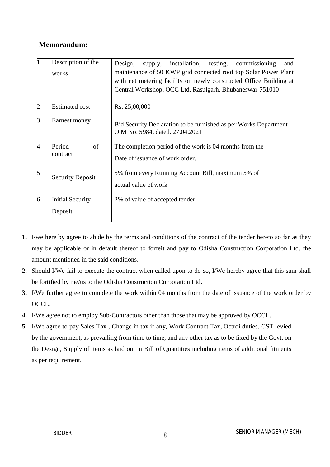### **Memorandum:**

| $\mathbf{1}$   | Description of the<br>works         | installation, testing, commissioning<br>Design,<br>supply,<br>and<br>maintenance of 50 KWP grid connected roof top Solar Power Plant<br>with net metering facility on newly constructed Office Building at<br>Central Workshop, OCC Ltd, Rasulgarh, Bhubaneswar-751010 |
|----------------|-------------------------------------|------------------------------------------------------------------------------------------------------------------------------------------------------------------------------------------------------------------------------------------------------------------------|
| $\overline{2}$ | <b>Estimated cost</b>               | Rs. 25,00,000                                                                                                                                                                                                                                                          |
| $\overline{3}$ | Earnest money                       | Bid Security Declaration to be furnished as per Works Department<br>O.M No. 5984, dated. 27.04.2021                                                                                                                                                                    |
| $\overline{4}$ | Period<br><sub>of</sub><br>contract | The completion period of the work is 04 months from the<br>Date of issuance of work order.                                                                                                                                                                             |
| $\overline{5}$ | <b>Security Deposit</b>             | 5% from every Running Account Bill, maximum 5% of<br>actual value of work                                                                                                                                                                                              |
| $\overline{6}$ | <b>Initial Security</b><br>Deposit  | 2% of value of accepted tender                                                                                                                                                                                                                                         |

- **1.** I/we here by agree to abide by the terms and conditions of the contract of the tender hereto so far as they may be applicable or in default thereof to forfeit and pay to Odisha Construction Corporation Ltd. the amount mentioned in the said conditions.
- **2.** Should I/We fail to execute the contract when called upon to do so, I/We hereby agree that this sum shall be fortified by me/us to the Odisha Construction Corporation Ltd.
- **3.** I/We further agree to complete the work within 04 months from the date of issuance of the work order by OCCL.
- **4.** I/We agree not to employ Sub-Contractors other than those that may be approved by OCCL*.*
- **5.** I/We agree to pay Sales Tax , Change in tax if any, Work Contract Tax, Octroi duties, GST levied by the government, as prevailing from time to time, and any other tax as to be fixed by the Govt. on the Design, Supply of items as laid out in Bill of Quantities including items of additional fitments as per requirement.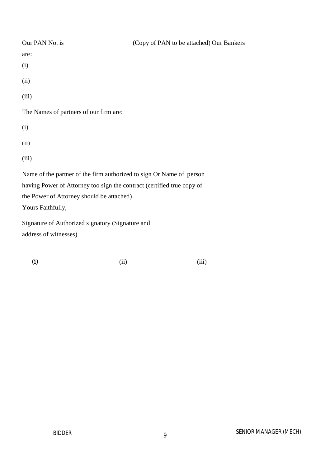| Our PAN No. is                                                         | (Copy of PAN to be attached) Our Bankers |
|------------------------------------------------------------------------|------------------------------------------|
| are:                                                                   |                                          |
| (i)                                                                    |                                          |
| (ii)                                                                   |                                          |
| (iii)                                                                  |                                          |
| The Names of partners of our firm are:                                 |                                          |
| (i)                                                                    |                                          |
| (ii)                                                                   |                                          |
| (iii)                                                                  |                                          |
| Name of the partner of the firm authorized to sign Or Name of person   |                                          |
| having Power of Attorney too sign the contract (certified true copy of |                                          |
| the Power of Attorney should be attached)                              |                                          |
| Yours Faithfully,                                                      |                                          |

Signature of Authorized signatory (Signature and address of witnesses)

(i)  $(ii)$  (iii)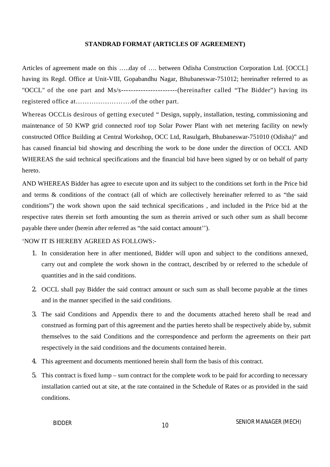#### **STANDRAD FORMAT (ARTICLES OF AGREEMENT)**

Articles of agreement made on this …..day of …. between Odisha Construction Corporation Ltd. [OCCL] having its Regd. Office at Unit-VIII, Gopabandhu Nagar, Bhubaneswar-751012; hereinafter referred to as "OCCL" of the one part and Ms/s-----------------------(hereinafter called "The Bidder") having its registered office at…………………….of the other part.

Whereas OCCLis desirous of getting executed " Design, supply, installation, testing, commissioning and maintenance of 50 KWP grid connected roof top Solar Power Plant with net metering facility on newly constructed Office Building at Central Workshop, OCC Ltd, Rasulgarh, Bhubaneswar-751010 (Odisha)" and has caused financial bid showing and describing the work to be done under the direction of OCCL AND WHEREAS the said technical specifications and the financial bid have been signed by or on behalf of party hereto.

AND WHEREAS Bidder has agree to execute upon and its subject to the conditions set forth in the Price bid and terms & conditions of the contract (all of which are collectively hereinafter referred to as "the said conditions") the work shown upon the said technical specifications , and included in the Price bid at the respective rates therein set forth amounting the sum as therein arrived or such other sum as shall become payable there under (herein after referred as "the said contact amount'').

#### 'NOW IT IS HEREBY AGREED AS FOLLOWS:-

- 1. In consideration here in after mentioned, Bidder will upon and subject to the conditions annexed, carry out and complete the work shown in the contract, described by or referred to the schedule of quantities and in the said conditions.
- 2. OCCL shall pay Bidder the said contract amount or such sum as shall become payable at the times and in the manner specified in the said conditions.
- 3. The said Conditions and Appendix there to and the documents attached hereto shall be read and construed as forming part of this agreement and the parties hereto shall be respectively abide by, submit themselves to the said Conditions and the correspondence and perform the agreements on their part respectively in the said conditions and the documents contained herein.
- 4. This agreement and documents mentioned herein shall form the basis of this contract.
- 5. This contract is fixed lump sum contract for the complete work to be paid for according to necessary installation carried out at site, at the rate contained in the Schedule of Rates or as provided in the said conditions.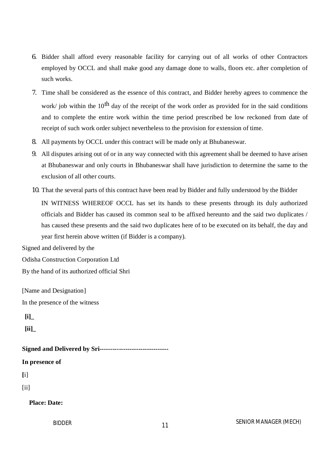- 6. Bidder shall afford every reasonable facility for carrying out of all works of other Contractors employed by OCCL and shall make good any damage done to walls, floors etc. after completion of such works.
- 7. Time shall be considered as the essence of this contract, and Bidder hereby agrees to commence the work/ job within the  $10<sup>th</sup>$  day of the receipt of the work order as provided for in the said conditions and to complete the entire work within the time period prescribed be low reckoned from date of receipt of such work order subject nevertheless to the provision for extension of time.
- 8. All payments by OCCL under this contract will be made only at Bhubaneswar.
- 9. All disputes arising out of or in any way connected with this agreement shall be deemed to have arisen at Bhubaneswar and only courts in Bhubaneswar shall have jurisdiction to determine the same to the exclusion of all other courts.
- 10. That the several parts of this contract have been read by Bidder and fully understood by the Bidder

IN WITNESS WHEREOF OCCL has set its hands to these presents through its duly authorized officials and Bidder has caused its common seal to be affixed hereunto and the said two duplicates / has caused these presents and the said two duplicates here of to be executed on its behalf, the day and year first herein above written (if Bidder is a company).

Signed and delivered by the

Odisha Construction Corporation Ltd

By the hand of its authorized official Shri

[Name and Designation] In the presence of the witness

**[i]\_**

**[ii]\_**

**Signed and Delivered by Sri--------------------------------**

#### **In presence of**

**[**i]

[ii]

#### **Place: Date:**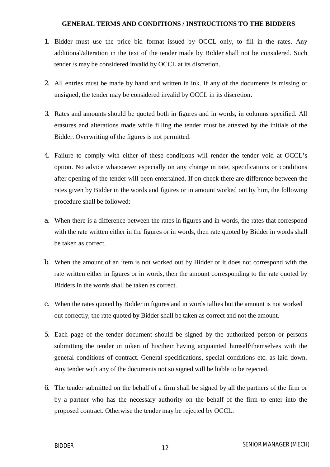#### **GENERAL TERMS AND CONDITIONS / INSTRUCTIONS TO THE BIDDERS**

- 1. Bidder must use the price bid format issued by OCCL only, to fill in the rates. Any additional/alteration in the text of the tender made by Bidder shall not be considered. Such tender /s may be considered invalid by OCCL at its discretion.
- 2. All entries must be made by hand and written in ink. If any of the documents is missing or unsigned, the tender may be considered invalid by OCCL in its discretion.
- 3. Rates and amounts should be quoted both in figures and in words, in columns specified. All erasures and alterations made while filling the tender must be attested by the initials of the Bidder. Overwriting of the figures is not permitted.
- 4. Failure to comply with either of these conditions will render the tender void at OCCL's option. No advice whatsoever especially on any change in rate, specifications or conditions after opening of the tender will been entertained. If on check there are difference between the rates given by Bidder in the words and figures or in amount worked out by him, the following procedure shall be followed:
- a. When there is a difference between the rates in figures and in words, the rates that correspond with the rate written either in the figures or in words, then rate quoted by Bidder in words shall be taken as correct.
- b. When the amount of an item is not worked out by Bidder or it does not correspond with the rate written either in figures or in words, then the amount corresponding to the rate quoted by Bidders in the words shall be taken as correct.
- c. When the rates quoted by Bidder in figures and in words tallies but the amount is not worked out correctly, the rate quoted by Bidder shall be taken as correct and not the amount.
- 5. Each page of the tender document should be signed by the authorized person or persons submitting the tender in token of his/their having acquainted himself/themselves with the general conditions of contract. General specifications, special conditions etc. as laid down. Any tender with any of the documents not so signed will be liable to be rejected.
- 6. The tender submitted on the behalf of a firm shall be signed by all the partners of the firm or by a partner who has the necessary authority on the behalf of the firm to enter into the proposed contract. Otherwise the tender may be rejected by OCCL.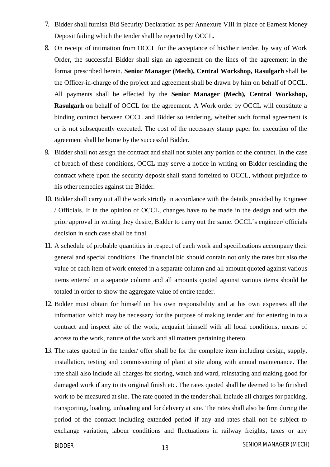- 7. Bidder shall furnish Bid Security Declaration as per Annexure VIII in place of Earnest Money Deposit failing which the tender shall be rejected by OCCL.
- 8. On receipt of intimation from OCCL for the acceptance of his/their tender, by way of Work Order, the successful Bidder shall sign an agreement on the lines of the agreement in the format prescribed herein. **Senior Manager (Mech), Central Workshop, Rasulgarh** shall be the Officer-in-charge of the project and agreement shall be drawn by him on behalf of OCCL. All payments shall be effected by the **Senior Manager (Mech), Central Workshop, Rasulgarh** on behalf of OCCL for the agreement. A Work order by OCCL will constitute a binding contract between OCCL and Bidder so tendering, whether such formal agreement is or is not subsequently executed. The cost of the necessary stamp paper for execution of the agreement shall be borne by the successful Bidder.
- 9. Bidder shall not assign the contract and shall not sublet any portion of the contract. In the case of breach of these conditions, OCCL may serve a notice in writing on Bidder rescinding the contract where upon the security deposit shall stand forfeited to OCCL, without prejudice to his other remedies against the Bidder.
- 10. Bidder shall carry out all the work strictly in accordance with the details provided by Engineer / Officials. If in the opinion of OCCL, changes have to be made in the design and with the prior approval in writing they desire, Bidder to carry out the same. OCCL`s engineer/ officials decision in such case shall be final.
- 11. A schedule of probable quantities in respect of each work and specifications accompany their general and special conditions. The financial bid should contain not only the rates but also the value of each item of work entered in a separate column and all amount quoted against various items entered in a separate column and all amounts quoted against various items should be totaled in order to show the aggregate value of entire tender.
- 12. Bidder must obtain for himself on his own responsibility and at his own expenses all the information which may be necessary for the purpose of making tender and for entering in to a contract and inspect site of the work, acquaint himself with all local conditions, means of access to the work, nature of the work and all matters pertaining thereto.
- 13. The rates quoted in the tender/ offer shall be for the complete item including design, supply, installation, testing and commissioning of plant at site along with annual maintenance. The rate shall also include all charges for storing, watch and ward, reinstating and making good for damaged work if any to its original finish etc. The rates quoted shall be deemed to be finished work to be measured at site. The rate quoted in the tender shall include all charges for packing, transporting, loading, unloading and for delivery at site. The rates shall also be firm during the period of the contract including extended period if any and rates shall not be subject to exchange variation, labour conditions and fluctuations in railway freights, taxes or any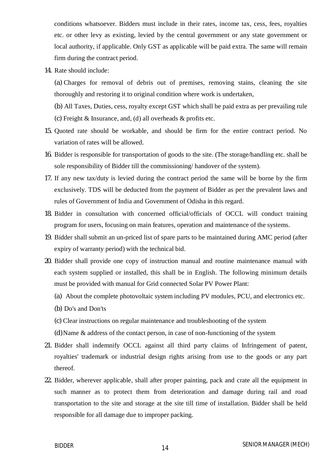conditions whatsoever. Bidders must include in their rates, income tax, cess, fees, royalties etc. or other levy as existing, levied by the central government or any state government or local authority, if applicable. Only GST as applicable will be paid extra. The same will remain firm during the contract period.

14. Rate should include:

(a) Charges for removal of debris out of premises, removing stains, cleaning the site thoroughly and restoring it to original condition where work is undertaken,

(b) All Taxes, Duties, cess, royalty except GST which shall be paid extra as per prevailing rule (c) Freight & Insurance, and, (d) all overheads & profits etc.

- 15. Quoted rate should be workable, and should be firm for the entire contract period. No variation of rates will be allowed.
- 16. Bidder is responsible for transportation of goods to the site. (The storage/handling etc. shall be sole responsibility of Bidder till the commissioning/ handover of the system).
- 17. If any new tax/duty is levied during the contract period the same will be borne by the firm exclusively. TDS will be deducted from the payment of Bidder as per the prevalent laws and rules of Government of India and Government of Odisha in this regard.
- 18. Bidder in consultation with concerned official/officials of OCCL will conduct training program for users, focusing on main features, operation and maintenance of the systems.
- 19. Bidder shall submit an un-priced list of spare parts to be maintained during AMC period (after expiry of warranty period) with the technical bid.
- 20. Bidder shall provide one copy of instruction manual and routine maintenance manual with each system supplied or installed, this shall be in English. The following minimum details must be provided with manual for Grid connected Solar PV Power Plant:
	- (a) About the complete photovoltaic system including PV modules, PCU, and electronics etc.
	- (b) Do's and Don'ts
	- (c) Clear instructions on regular maintenance and troubleshooting of the system
	- (d)Name & address of the contact person, in case of non-functioning of the system
- 21. Bidder shall indemnify OCCL against all third party claims of Infringement of patent, royalties' trademark or industrial design rights arising from use to the goods or any part thereof.
- 22. Bidder, wherever applicable, shall after proper painting, pack and crate all the equipment in such manner as to protect them from deterioration and damage during rail and road transportation to the site and storage at the site till time of installation. Bidder shall be held responsible for all damage due to improper packing.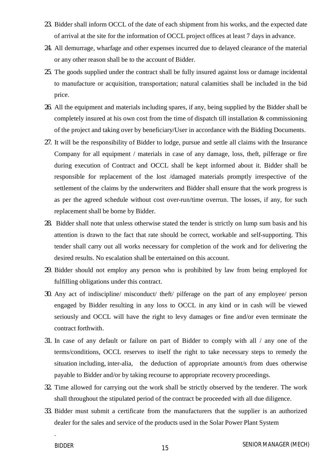- 23. Bidder shall inform OCCL of the date of each shipment from his works, and the expected date of arrival at the site for the information of OCCL project offices at least 7 days in advance.
- 24. All demurrage, wharfage and other expenses incurred due to delayed clearance of the material or any other reason shall be to the account of Bidder.
- 25. The goods supplied under the contract shall be fully insured against loss or damage incidental to manufacture or acquisition, transportation; natural calamities shall be included in the bid price.
- 26. All the equipment and materials including spares, if any, being supplied by the Bidder shall be completely insured at his own cost from the time of dispatch till installation & commissioning of the project and taking over by beneficiary/User in accordance with the Bidding Documents.
- 27. It will be the responsibility of Bidder to lodge, pursue and settle all claims with the Insurance Company for all equipment / materials in case of any damage, loss, theft, pilferage or fire during execution of Contract and OCCL shall be kept informed about it. Bidder shall be responsible for replacement of the lost /damaged materials promptly irrespective of the settlement of the claims by the underwriters and Bidder shall ensure that the work progress is as per the agreed schedule without cost over-run/time overrun. The losses, if any, for such replacement shall be borne by Bidder.
- 28. Bidder shall note that unless otherwise stated the tender is strictly on lump sum basis and his attention is drawn to the fact that rate should be correct, workable and self-supporting. This tender shall carry out all works necessary for completion of the work and for delivering the desired results. No escalation shall be entertained on this account.
- 29. Bidder should not employ any person who is prohibited by law from being employed for fulfilling obligations under this contract.
- 30. Any act of indiscipline/ misconduct/ theft/ pilferage on the part of any employee/ person engaged by Bidder resulting in any loss to OCCL in any kind or in cash will be viewed seriously and OCCL will have the right to levy damages or fine and/or even terminate the contract forthwith.
- 31. In case of any default or failure on part of Bidder to comply with all / any one of the terms/conditions, OCCL reserves to itself the right to take necessary steps to remedy the situation including, inter-alia, the deduction of appropriate amount/s from dues otherwise payable to Bidder and/or by taking recourse to appropriate recovery proceedings.
- 32. Time allowed for carrying out the work shall be strictly observed by the tenderer. The work shall throughout the stipulated period of the contract be proceeded with all due diligence.
- 33. Bidder must submit a certificate from the manufacturers that the supplier is an authorized dealer for the sales and service of the products used in the Solar Power Plant System

.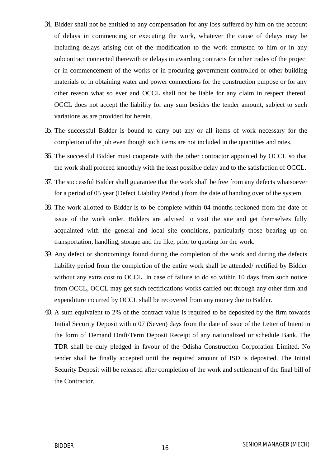- 34. Bidder shall not be entitled to any compensation for any loss suffered by him on the account of delays in commencing or executing the work, whatever the cause of delays may be including delays arising out of the modification to the work entrusted to him or in any subcontract connected therewith or delays in awarding contracts for other trades of the project or in commencement of the works or in procuring government controlled or other building materials or in obtaining water and power connections for the construction purpose or for any other reason what so ever and OCCL shall not be liable for any claim in respect thereof. OCCL does not accept the liability for any sum besides the tender amount, subject to such variations as are provided for herein.
- 35. The successful Bidder is bound to carry out any or all items of work necessary for the completion of the job even though such items are not included in the quantities and rates.
- 36. The successful Bidder must cooperate with the other contractor appointed by OCCL so that the work shall proceed smoothly with the least possible delay and to the satisfaction of OCCL.
- 37. The successful Bidder shall guarantee that the work shall be free from any defects whatsoever for a period of 05 year (Defect Liability Period ) from the date of handing over of the system.
- 38. The work allotted to Bidder is to be complete within 04 months reckoned from the date of issue of the work order. Bidders are advised to visit the site and get themselves fully acquainted with the general and local site conditions, particularly those bearing up on transportation, handling, storage and the like, prior to quoting for the work.
- 39. Any defect or shortcomings found during the completion of the work and during the defects liability period from the completion of the entire work shall be attended/ rectified by Bidder without any extra cost to OCCL. In case of failure to do so within 10 days from such notice from OCCL, OCCL may get such rectifications works carried out through any other firm and expenditure incurred by OCCL shall be recovered from any money due to Bidder.
- 40. A sum equivalent to 2% of the contract value is required to be deposited by the firm towards Initial Security Deposit within 07 (Seven) days from the date of issue of the Letter of Intent in the form of Demand Draft/Term Deposit Receipt of any nationalized or schedule Bank. The TDR shall be duly pledged in favour of the Odisha Construction Corporation Limited. No tender shall be finally accepted until the required amount of ISD is deposited. The Initial Security Deposit will be released after completion of the work and settlement of the final bill of the Contractor.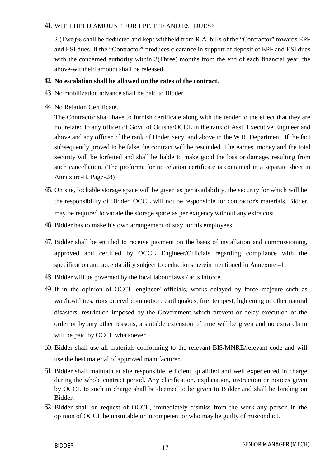#### 41. WITH HELD AMOUNT FOR EPF, FPF AND ESI DUES

2 (Two)% shall be deducted and kept withheld from R.A. bills of the "Contractor" towards EPF and ESI dues. If the "Contractor" produces clearance in support of deposit of EPF and ESI dues with the concerned authority within 3(Three) months from the end of each financial year, the above-withheld amount shall be released.

#### **42. No escalation shall be allowed on the rates of the contract.**

- 43. No mobilization advance shall be paid to Bidder.
- 44. No Relation Certificate.

The Contractor shall have to furnish certificate along with the tender to the effect that they are not related to any officer of Govt. of Odisha/OCCL in the rank of Asst. Executive Engineer and above and any officer of the rank of Under Secy. and above in the W.R. Department. If the fact subsequently proved to be false the contract will be rescinded. The earnest money and the total security will be forfeited and shall be liable to make good the loss or damage, resulting from such cancellation. (The proforma for no relation certificate is contained in a separate sheet in Annexure-II, Page-28)

- 45. On site, lockable storage space will be given as per availability, the security for which will be the responsibility of Bidder. OCCL will not be responsible for contractor's materials. Bidder may be required to vacate the storage space as per exigency without any extra cost.
- 46. Bidder has to make his own arrangement of stay for his employees.
- 47. Bidder shall be entitled to receive payment on the basis of installation and commissioning, approved and certified by OCCL Engineer/Officials regarding compliance with the specification and acceptability subject to deductions herein mentioned in Annexure –1.
- 48. Bidder will be governed by the local labour laws / acts inforce.
- 49. If in the opinion of OCCL engineer/ officials, works delayed by force majeure such as war/hostilities, riots or civil commotion, earthquakes, fire, tempest, lightening or other natural disasters, restriction imposed by the Government which prevent or delay execution of the order or by any other reasons, a suitable extension of time will be given and no extra claim will be paid by OCCL whatsoever.
- 50. Bidder shall use all materials conforming to the relevant BIS/MNRE/relevant code and will use the best material of approved manufacturer.
- 51. Bidder shall maintain at site responsible, efficient, qualified and well experienced in charge during the whole contract period. Any clarification, explanation, instruction or notices given by OCCL to such in charge shall be deemed to be given to Bidder and shall be binding on Bidder.
- 52. Bidder shall on request of OCCL, immediately dismiss from the work any person in the opinion of OCCL be unsuitable or incompetent or who may be guilty of misconduct.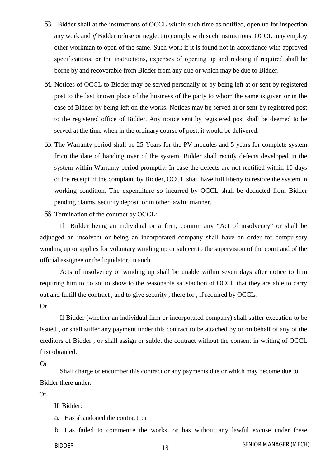- 53. Bidder shall at the instructions of OCCL within such time as notified, open up for inspection any work and *if* Bidder refuse or neglect to comply with such instructions, OCCL may employ other workman to open of the same. Such work if it is found not in accordance with approved specifications, or the instructions, expenses of opening up and redoing if required shall be borne by and recoverable from Bidder from any due or which may be due to Bidder.
- 54. Notices of OCCL to Bidder may be served personally or by being left at or sent by registered post to the last known place of the business of the party to whom the same is given or in the case of Bidder by being left on the works. Notices may be served at or sent by registered post to the registered office of Bidder. Any notice sent by registered post shall be deemed to be served at the time when in the ordinary course of post, it would be delivered.
- 55. The Warranty period shall be 25 Years for the PV modules and 5 years for complete system from the date of handing over of the system. Bidder shall rectify defects developed in the system within Warranty period promptly. In case the defects are not rectified within 10 days of the receipt of the complaint by Bidder, OCCL shall have full liberty to restore the system in working condition. The expenditure so incurred by OCCL shall be deducted from Bidder pending claims, security deposit or in other lawful manner.

56. Termination of the contract by OCCL:

If Bidder being an individual or a firm, commit any "Act of insolvency" or shall be adjudged an insolvent or being an incorporated company shall have an order for compulsory winding up or applies for voluntary winding up or subject to the supervision of the court and of the official assignee or the liquidator, in such

Acts of insolvency or winding up shall be unable within seven days after notice to him requiring him to do so, to show to the reasonable satisfaction of OCCL that they are able to carry out and fulfill the contract , and to give security , there for , if required by OCCL.

Or

If Bidder (whether an individual firm or incorporated company) shall suffer execution to be issued , or shall suffer any payment under this contract to be attached by or on behalf of any of the creditors of Bidder , or shall assign or sublet the contract without the consent in writing of OCCL first obtained.

Or

Shall charge or encumber this contract or any payments due or which may become due to Bidder there under.

Or

If Bidder:

a. Has abandoned the contract, or

<sup>18</sup> SENIOR MANAGER (MECH) BIDDER b. Has failed to commence the works, or has without any lawful excuse under these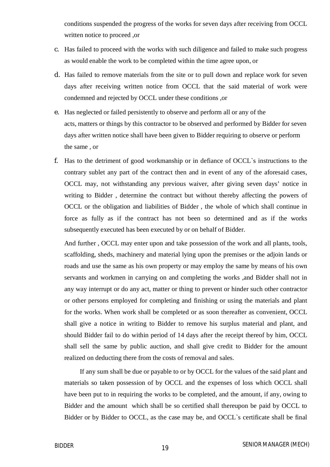conditions suspended the progress of the works for seven days after receiving from OCCL written notice to proceed ,or

- c. Has failed to proceed with the works with such diligence and failed to make such progress as would enable the work to be completed within the time agree upon, or
- d. Has failed to remove materials from the site or to pull down and replace work for seven days after receiving written notice from OCCL that the said material of work were condemned and rejected by OCCL under these conditions ,or
- e. Has neglected or failed persistently to observe and perform all or any of the acts, matters or things by this contractor to be observed and performed by Bidder for seven days after written notice shall have been given to Bidder requiring to observe or perform the same , or
- f. Has to the detriment of good workmanship or in defiance of OCCL`s instructions to the contrary sublet any part of the contract then and in event of any of the aforesaid cases, OCCL may, not withstanding any previous waiver, after giving seven days' notice in writing to Bidder , determine the contract but without thereby affecting the powers of OCCL or the obligation and liabilities of Bidder , the whole of which shall continue in force as fully as if the contract has not been so determined and as if the works subsequently executed has been executed by or on behalf of Bidder.

And further , OCCL may enter upon and take possession of the work and all plants, tools, scaffolding, sheds, machinery and material lying upon the premises or the adjoin lands or roads and use the same as his own property or may employ the same by means of his own servants and workmen in carrying on and completing the works ,and Bidder shall not in any way interrupt or do any act, matter or thing to prevent or hinder such other contractor or other persons employed for completing and finishing or using the materials and plant for the works. When work shall be completed or as soon thereafter as convenient, OCCL shall give a notice in writing to Bidder to remove his surplus material and plant, and should Bidder fail to do within period of 14 days after the receipt thereof by him, OCCL shall sell the same by public auction, and shall give credit to Bidder for the amount realized on deducting there from the costs of removal and sales.

If any sum shall be due or payable to or by OCCL for the values of the said plant and materials so taken possession of by OCCL and the expenses of loss which OCCL shall have been put to in requiring the works to be completed, and the amount, if any, owing to Bidder and the amount which shall be so certified shall thereupon be paid by OCCL to Bidder or by Bidder to OCCL, as the case may be, and OCCL`s certificate shall be final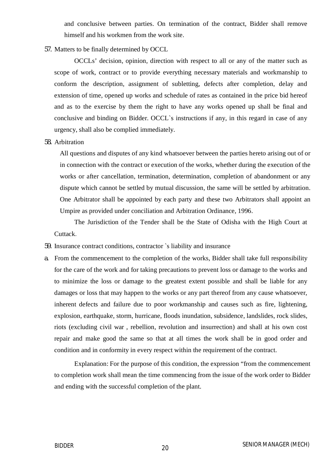and conclusive between parties. On termination of the contract, Bidder shall remove himself and his workmen from the work site.

#### 57. Matters to be finally determined by OCCL

OCCLs' decision, opinion, direction with respect to all or any of the matter such as scope of work, contract or to provide everything necessary materials and workmanship to conform the description, assignment of subletting, defects after completion, delay and extension of time, opened up works and schedule of rates as contained in the price bid hereof and as to the exercise by them the right to have any works opened up shall be final and conclusive and binding on Bidder. OCCL`s instructions if any, in this regard in case of any urgency, shall also be complied immediately.

58. Arbitration

All questions and disputes of any kind whatsoever between the parties hereto arising out of or in connection with the contract or execution of the works, whether during the execution of the works or after cancellation, termination, determination, completion of abandonment or any dispute which cannot be settled by mutual discussion, the same will be settled by arbitration. One Arbitrator shall be appointed by each party and these two Arbitrators shall appoint an Umpire as provided under conciliation and Arbitration Ordinance, 1996.

The Jurisdiction of the Tender shall be the State of Odisha with the High Court at Cuttack.

- 59. Insurance contract conditions, contractor `s liability and insurance
- a. From the commencement to the completion of the works, Bidder shall take full responsibility for the care of the work and for taking precautions to prevent loss or damage to the works and to minimize the loss or damage to the greatest extent possible and shall be liable for any damages or loss that may happen to the works or any part thereof from any cause whatsoever, inherent defects and failure due to poor workmanship and causes such as fire, lightening, explosion, earthquake, storm, hurricane, floods inundation, subsidence, landslides, rock slides, riots (excluding civil war , rebellion, revolution and insurrection) and shall at his own cost repair and make good the same so that at all times the work shall be in good order and condition and in conformity in every respect within the requirement of the contract.

Explanation: For the purpose of this condition, the expression "from the commencement to completion work shall mean the time commencing from the issue of the work order to Bidder and ending with the successful completion of the plant.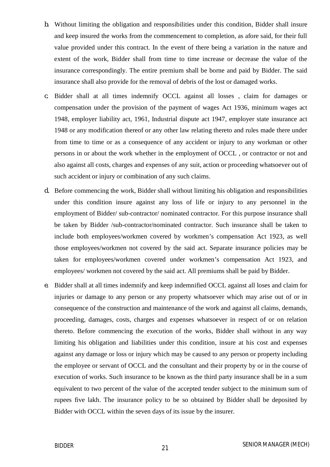- b. Without limiting the obligation and responsibilities under this condition, Bidder shall insure and keep insured the works from the commencement to completion, as afore said, for their full value provided under this contract. In the event of there being a variation in the nature and extent of the work, Bidder shall from time to time increase or decrease the value of the insurance correspondingly. The entire premium shall be borne and paid by Bidder. The said insurance shall also provide for the removal of debris of the lost or damaged works.
- c. Bidder shall at all times indemnify OCCL against all losses , claim for damages or compensation under the provision of the payment of wages Act 1936, minimum wages act 1948, employer liability act, 1961, Industrial dispute act 1947, employer state insurance act 1948 or any modification thereof or any other law relating thereto and rules made there under from time to time or as a consequence of any accident or injury to any workman or other persons in or about the work whether in the employment of OCCL , or contractor or not and also against all costs, charges and expenses of any suit, action or proceeding whatsoever out of such accident or injury or combination of any such claims.
- d. Before commencing the work, Bidder shall without limiting his obligation and responsibilities under this condition insure against any loss of life or injury to any personnel in the employment of Bidder/ sub-contractor/ nominated contractor. For this purpose insurance shall be taken by Bidder /sub-contractor/nominated contractor. Such insurance shall be taken to include both employees/workmen covered by workmen's compensation Act 1923, as well those employees/workmen not covered by the said act. Separate insurance policies may be taken for employees/workmen covered under workmen's compensation Act 1923, and employees/ workmen not covered by the said act. All premiums shall be paid by Bidder.
- e. Bidder shall at all times indemnify and keep indemnified OCCL against all loses and claim for injuries or damage to any person or any property whatsoever which may arise out of or in consequence of the construction and maintenance of the work and against all claims, demands, proceeding, damages, costs, charges and expenses whatsoever in respect of or on relation thereto. Before commencing the execution of the works, Bidder shall without in any way limiting his obligation and liabilities under this condition, insure at his cost and expenses against any damage or loss or injury which may be caused to any person or property including the employee or servant of OCCL and the consultant and their property by or in the course of execution of works. Such insurance to be known as the third party insurance shall be in a sum equivalent to two percent of the value of the accepted tender subject to the minimum sum of rupees five lakh. The insurance policy to be so obtained by Bidder shall be deposited by Bidder with OCCL within the seven days of its issue by the insurer.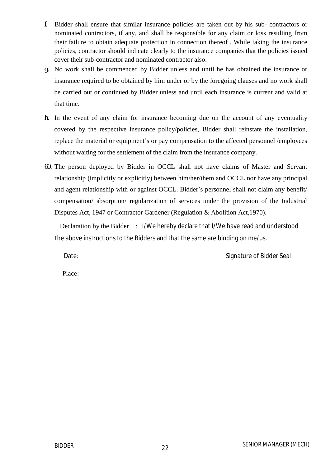- f. Bidder shall ensure that similar insurance policies are taken out by his sub- contractors or nominated contractors, if any, and shall be responsible for any claim or loss resulting from their failure to obtain adequate protection in connection thereof . While taking the insurance policies, contractor should indicate clearly to the insurance companies that the policies issued cover their sub-contractor and nominated contractor also.
- g. No work shall be commenced by Bidder unless and until he has obtained the insurance or insurance required to be obtained by him under or by the foregoing clauses and no work shall be carried out or continued by Bidder unless and until each insurance is current and valid at that time.
- h. In the event of any claim for insurance becoming due on the account of any eventuality covered by the respective insurance policy/policies, Bidder shall reinstate the installation, replace the material or equipment's or pay compensation to the affected personnel /employees without waiting for the settlement of the claim from the insurance company.
- 60. The person deployed by Bidder in OCCL shall not have claims of Master and Servant relationship (implicitly or explicitly) between him/her/them and OCCL nor have any principal and agent relationship with or against OCCL. Bidder's personnel shall not claim any benefit/ compensation/ absorption/ regularization of services under the provision of the Industrial Disputes Act, 1947 or Contractor Gardener (Regulation & Abolition Act,1970).

Declaration by the Bidder : I/We hereby declare that I/We have read and understood the above instructions to the Bidders and that the same are binding on me/us.

Date: Case of Bidder Seal and Signature of Bidder Seal

Place: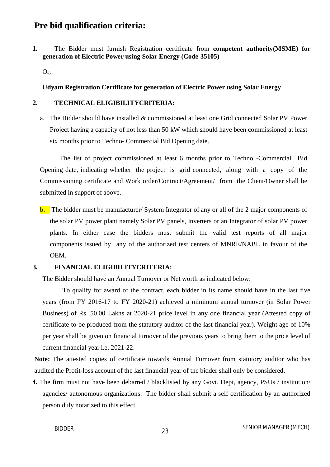### **Pre bid qualification criteria:**

**1.** The Bidder must furnish Registration certificate from **competent authority(MSME) for generation of Electric Power using Solar Energy (Code-35105)**

Or,

#### **Udyam Registration Certificate for generation of Electric Power using Solar Energy**

#### **2. TECHNICAL ELIGIBILITYCRITERIA:**

a. The Bidder should have installed & commissioned at least one Grid connected Solar PV Power Project having a capacity of not less than 50 kW which should have been commissioned at least six months prior to Techno- Commercial Bid Opening date.

The list of project commissioned at least 6 months prior to Techno -Commercial Bid Opening date, indicating whether the project is grid connected, along with a copy of the Commissioning certificate and Work order/Contract/Agreement/ from the Client/Owner shall be submitted in support of above.

b. The bidder must be manufacturer/ System Integrator of any or all of the 2 major components of the solar PV power plant namely Solar PV panels, Inverters or an Integrator of solar PV power plants. In either case the bidders must submit the valid test reports of all major components issued by any of the authorized test centers of MNRE/NABL in favour of the OEM.

#### **3. FINANCIAL ELIGIBILITYCRITERIA:**

The Bidder should have an Annual Turnover or Net worth as indicated below:

To qualify for award of the contract, each bidder in its name should have in the last five years (from FY 2016-17 to FY 2020-21) achieved a minimum annual turnover (in Solar Power Business) of Rs. 50.00 Lakhs at 2020-21 price level in any one financial year (Attested copy of certificate to be produced from the statutory auditor of the last financial year). Weight age of 10% per year shall be given on financial turnover of the previous years to bring them to the price level of current financial year i.e. 2021-22.

**Note:** The attested copies of certificate towards Annual Turnover from statutory auditor who has audited the Profit-loss account of the last financial year of the bidder shall only be considered.

**4.** The firm must not have been debarred / blacklisted by any Govt. Dept, agency, PSUs / institution/ agencies/ autonomous organizations. The bidder shall submit a self certification by an authorized person duly notarized to this effect.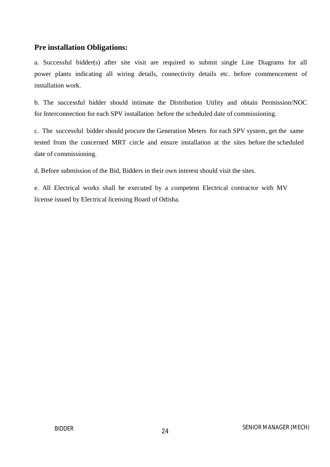### **Pre installation Obligations:**

a. Successful bidder(s) after site visit are required to submit single Line Diagrams for all power plants indicating all wiring details, connectivity details etc. before commencement of installation work.

b. The successful bidder should intimate the Distribution Utility and obtain Permission/NOC for Interconnection for each SPV installation before the scheduled date of commissioning.

c. The successful bidder should procure the Generation Meters for each SPV system, get the same tested from the concerned MRT circle and ensure installation at the sites before the scheduled date of commissioning.

d. Before submission of the Bid, Bidders in their own interest should visit the sites.

e. All Electrical works shall be executed by a competent Electrical contractor with MV license issued by Electrical licensing Board of Odisha.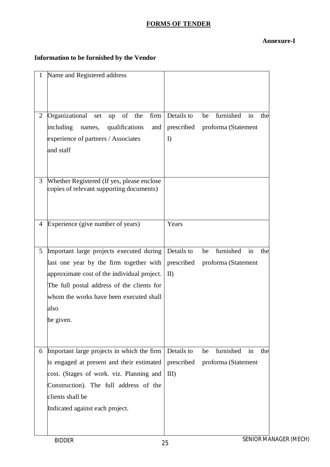### **FORMS OF TENDER**

#### **Annexure-I**

### **Information to be furnished by the Vendor**

| $\mathbf{1}$   | Name and Registered address                                                                                                                                                                                                                      |                                          |                                                     |
|----------------|--------------------------------------------------------------------------------------------------------------------------------------------------------------------------------------------------------------------------------------------------|------------------------------------------|-----------------------------------------------------|
| $\overline{2}$ | Organizational<br>of the<br>firm<br>set<br>up<br>including<br>names, qualifications<br>and<br>experience of partners / Associates<br>and staff                                                                                                   | Details to<br>prescribed<br>I            | furnished<br>be<br>in<br>the<br>proforma (Statement |
| 3              | Whether Registered (If yes, please enclose<br>copies of relevant supporting documents)                                                                                                                                                           |                                          |                                                     |
| 4              | Experience (give number of years)                                                                                                                                                                                                                | Years                                    |                                                     |
| $5^{\circ}$    | Important large projects executed during<br>last one year by the firm together with<br>approximate cost of the individual project.<br>The full postal address of the clients for<br>whom the works have been executed shall<br>also<br>be given. | Details to<br>prescribed<br>$\mathbf{I}$ | furnished<br>be<br>in<br>the<br>proforma (Statement |
|                | 6 Important large projects in which the firm<br>is engaged at present and their estimated<br>cost. (Stages of work. viz. Planning and<br>Construction). The full address of the<br>clients shall be<br>Indicated against each project.           | Details to<br>prescribed<br>$III$ )      | furnished<br>be<br>in<br>the<br>proforma (Statement |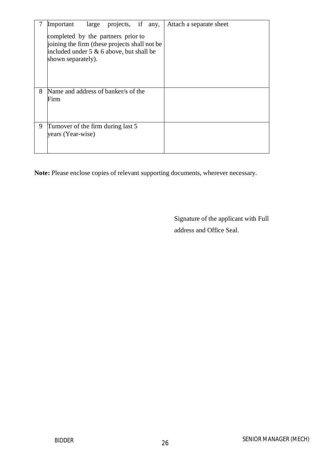|   | Important                                                                                                                                                | large projects, if any, |  | Attach a separate sheet |
|---|----------------------------------------------------------------------------------------------------------------------------------------------------------|-------------------------|--|-------------------------|
|   | completed by the partners prior to<br>joining the firm (these projects shall not be<br>included under $5 \& 6$ above, but shall be<br>shown separately). |                         |  |                         |
| 8 | Name and address of banker/s of the<br>Firm                                                                                                              |                         |  |                         |
| 9 | Turnover of the firm during last 5<br>years (Year-wise)                                                                                                  |                         |  |                         |

**Note:** Please enclose copies of relevant supporting documents, wherever necessary.

Signature of the applicant with Full address and Office Seal.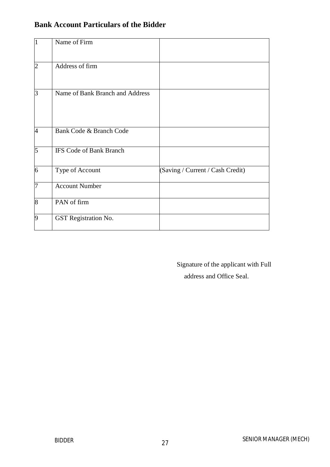| $\vert$ 1      | Name of Firm                    |                                  |
|----------------|---------------------------------|----------------------------------|
| $\overline{2}$ | Address of firm                 |                                  |
| $\vert$ 3      | Name of Bank Branch and Address |                                  |
| $\overline{4}$ | Bank Code & Branch Code         |                                  |
| $\overline{5}$ | <b>IFS Code of Bank Branch</b>  |                                  |
| 6              | Type of Account                 | (Saving / Current / Cash Credit) |
| 7              | <b>Account Number</b>           |                                  |
| $\overline{8}$ | PAN of firm                     |                                  |
| 9              | <b>GST</b> Registration No.     |                                  |

### **Bank Account Particulars of the Bidder**

Signature of the applicant with Full address and Office Seal.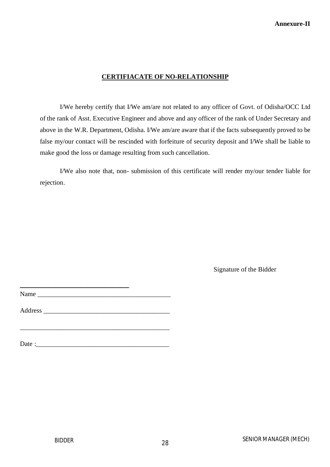#### **CERTIFIACATE OF NO-RELATIONSHIP**

I/We hereby certify that I/We am/are not related to any officer of Govt. of Odisha/OCC Ltd of the rank of Asst. Executive Engineer and above and any officer of the rank of Under Secretary and above in the W.R. Department, Odisha. I/We am/are aware that if the facts subsequently proved to be false my/our contact will be rescinded with forfeiture of security deposit and I/We shall be liable to make good the loss or damage resulting from such cancellation.

I/We also note that, non- submission of this certificate will render my/our tender liable for rejection.

Signature of the Bidder

Name

Address \_\_\_\_\_\_\_\_\_\_\_\_\_\_\_\_\_\_\_\_\_\_\_\_\_\_\_\_\_\_\_\_\_\_\_\_\_\_

\_\_\_\_\_\_\_\_\_\_\_\_\_\_\_\_\_\_\_\_\_\_\_\_\_\_\_\_\_\_\_\_\_\_\_\_\_\_\_\_\_\_\_\_\_

 $Date:$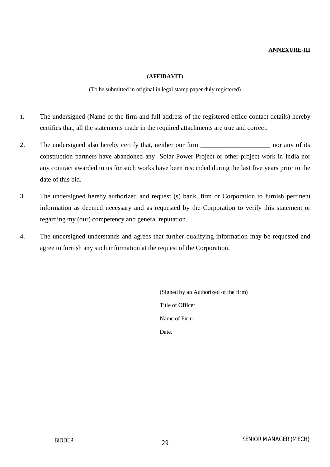#### **ANNEXURE-III**

#### **(AFFIDAVIT)**

#### (To be submitted in original in legal stamp paper duly registered)

- 1. The undersigned (Name of the firm and full address of the registered office contact details) hereby certifies that, all the statements made in the required attachments are true and correct.
- 2. The undersigned also hereby certify that, neither our firm \_\_\_\_\_\_\_\_\_\_\_\_\_\_\_\_\_\_\_\_\_ nor any of its construction partners have abandoned any Solar Power Project or other project work in India nor any contract awarded to us for such works have been rescinded during the last five years prior to the date of this bid.
- 3. The undersigned hereby authorized and request (s) bank, firm or Corporation to furnish pertinent information as deemed necessary and as requested by the Corporation to verify this statement or regarding my (our) competency and general reputation.
- 4. The undersigned understands and agrees that further qualifying information may be requested and agree to furnish any such information at the request of the Corporation.

(Signed by an Authorized of the firm) Title of Officer Name of Firm Date.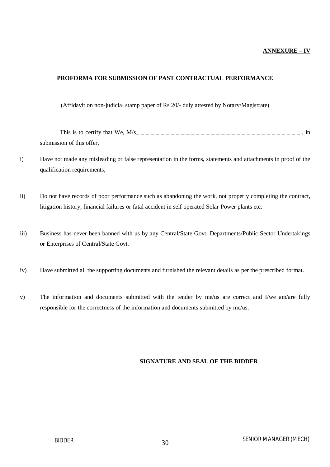#### **ANNEXURE – IV**

#### **PROFORMA FOR SUBMISSION OF PAST CONTRACTUAL PERFORMANCE**

(Affidavit on non-judicial stamp paper of Rs 20/- duly attested by Notary/Magistrate)

This is to certify that We,  $M/s$ <sub>--------------------------------</sub>, in submission of this offer,

- i) Have not made any misleading or false representation in the forms, statements and attachments in proof of the qualification requirements;
- ii) Do not have records of poor performance such as abandoning the work, not properly completing the contract, litigation history, financial failures or fatal accident in self operated Solar Power plants etc.
- iii) Business has never been banned with us by any Central/State Govt. Departments/Public Sector Undertakings or Enterprises of Central/State Govt.
- iv) Have submitted all the supporting documents and furnished the relevant details as per the prescribed format.
- v) The information and documents submitted with the tender by me/us are correct and I/we am/are fully responsible for the correctness of the information and documents submitted by me/us.

#### **SIGNATURE AND SEAL OF THE BIDDER**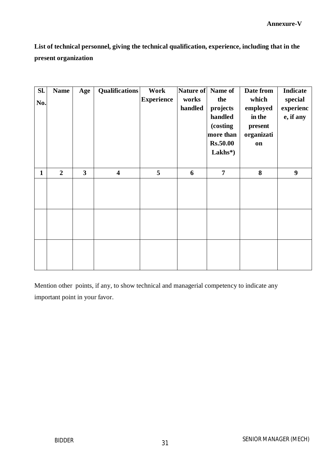**List of technical personnel, giving the technical qualification, experience, including that in the present organization**

| SI.<br>No.   | <b>Name</b>    | Age            | <b>Qualifications</b>   | Work<br><b>Experience</b> | works<br>handled | Nature of Name of<br>the<br>projects<br>handled<br>(costing<br>more than<br><b>Rs.50.00</b><br>$Lakhs*$ | Date from<br>which<br>employed<br>in the<br>present<br>organizati<br>on | Indicate<br>special<br>experienc<br>e, if any |
|--------------|----------------|----------------|-------------------------|---------------------------|------------------|---------------------------------------------------------------------------------------------------------|-------------------------------------------------------------------------|-----------------------------------------------|
| $\mathbf{1}$ | $\overline{2}$ | $\overline{3}$ | $\overline{\mathbf{4}}$ | 5                         | 6                | $\overline{7}$                                                                                          | 8                                                                       | $\boldsymbol{9}$                              |
|              |                |                |                         |                           |                  |                                                                                                         |                                                                         |                                               |
|              |                |                |                         |                           |                  |                                                                                                         |                                                                         |                                               |
|              |                |                |                         |                           |                  |                                                                                                         |                                                                         |                                               |

Mention other points, if any, to show technical and managerial competency to indicate any important point in your favor.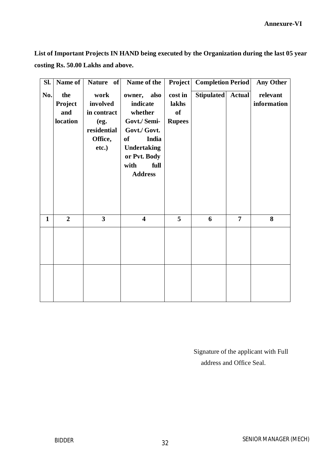**List of Important Projects IN HAND being executed by the Organization during the last 05 year costing Rs. 50.00 Lakhs and above.**

| Sl.          | Name of                           | Nature of                                                                  | Name of the                                                                                                                                                      | <b>Project</b>                          | <b>Completion Period</b> |                | <b>Any Other</b>        |
|--------------|-----------------------------------|----------------------------------------------------------------------------|------------------------------------------------------------------------------------------------------------------------------------------------------------------|-----------------------------------------|--------------------------|----------------|-------------------------|
| No.          | the<br>Project<br>and<br>location | work<br>involved<br>in contract<br>(eg.<br>residential<br>Office,<br>etc.) | owner, also<br>indicate<br>whether<br>Govt./ Semi-<br>Govt./ Govt.<br>India<br><b>of</b><br><b>Undertaking</b><br>or Pvt. Body<br>with<br>full<br><b>Address</b> | cost in<br>lakhs<br>of<br><b>Rupees</b> | <b>Stipulated</b>        | <b>Actual</b>  | relevant<br>information |
| $\mathbf{1}$ | $\overline{2}$                    | $\overline{\mathbf{3}}$                                                    | $\overline{\mathbf{4}}$                                                                                                                                          | 5                                       | 6                        | $\overline{7}$ | 8                       |
|              |                                   |                                                                            |                                                                                                                                                                  |                                         |                          |                |                         |

Signature of the applicant with Full address and Office Seal.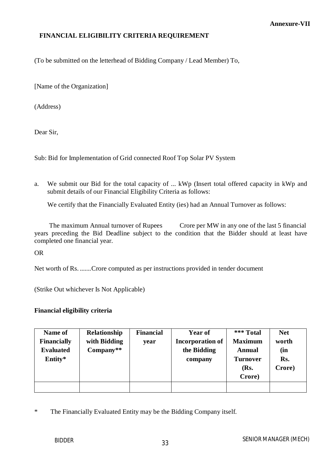#### **FINANCIAL ELIGIBILITY CRITERIA REQUIREMENT**

(To be submitted on the letterhead of Bidding Company / Lead Member) To,

[Name of the Organization]

(Address)

Dear Sir,

Sub: Bid for Implementation of Grid connected Roof Top Solar PV System

a. We submit our Bid for the total capacity of ... kWp (Insert total offered capacity in kWp and submit details of our Financial Eligibility Criteria as follows:

We certify that the Financially Evaluated Entity (ies) had an Annual Turnover as follows:

The maximum Annual turnover of Rupees Crore per MW in any one of the last 5 financial years preceding the Bid Deadline subject to the condition that the Bidder should at least have completed one financial year.

OR

Net worth of Rs. .......Crore computed as per instructions provided in tender document

(Strike Out whichever Is Not Applicable)

#### **Financial eligibility criteria**

| Name of            | Relationship | <b>Financial</b> | Year of                 | *** Total       | <b>Net</b> |
|--------------------|--------------|------------------|-------------------------|-----------------|------------|
| <b>Financially</b> | with Bidding | year             | <b>Incorporation of</b> | <b>Maximum</b>  | worth      |
| <b>Evaluated</b>   | $Compary**$  |                  | the Bidding             | <b>Annual</b>   | (in        |
| Entity*            |              |                  | company                 | <b>Turnover</b> | Rs.        |
|                    |              |                  |                         | (Rs.            | Crore)     |
|                    |              |                  |                         | Crore)          |            |
|                    |              |                  |                         |                 |            |

\* The Financially Evaluated Entity may be the Bidding Company itself.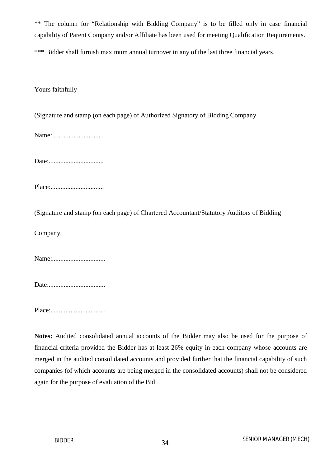\*\* The column for "Relationship with Bidding Company" is to be filled only in case financial capability of Parent Company and/or Affiliate has been used for meeting Qualification Requirements.

\*\*\* Bidder shall furnish maximum annual turnover in any of the last three financial years.

Yours faithfully

(Signature and stamp (on each page) of Authorized Signatory of Bidding Company.

Name:...............................

Date:.................................

Place:................................

(Signature and stamp (on each page) of Chartered Accountant/Statutory Auditors of Bidding

Company.

Name:................................

Date:..................................

Place:.................................

**Notes:** Audited consolidated annual accounts of the Bidder may also be used for the purpose of financial criteria provided the Bidder has at least 26% equity in each company whose accounts are merged in the audited consolidated accounts and provided further that the financial capability of such companies (of which accounts are being merged in the consolidated accounts) shall not be considered again for the purpose of evaluation of the Bid.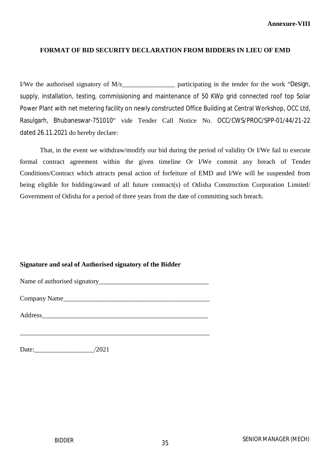#### **FORMAT OF BID SECURITY DECLARATION FROM BIDDERS IN LIEU OF EMD**

I/We the authorised signatory of M/s\_\_\_\_\_\_\_\_\_\_\_\_\_\_\_\_ participating in the tender for the work "Design, supply, installation, testing, commissioning and maintenance of 50 KWp grid connected roof top Solar Power Plant with net metering facility on newly constructed Office Building at Central Workshop, OCC Ltd, Rasulgarh, Bhubaneswar-751010" vide Tender Call Notice No. OCC/CWS/PROC/SPP-01/44/21-22 dated 26.11.2021 do hereby declare:

That, in the event we withdraw/modify our bid during the period of validity Or I/We fail to execute formal contract agreement within the given timeline Or I/We commit any breach of Tender Conditions/Contract which attracts penal action of forfeiture of EMD and I/We will be suspended from being eligible for bidding/award of all future contract(s) of Odisha Construction Corporation Limited/ Government of Odisha for a period of three years from the date of committing such breach.

#### **Signature and seal of Authorised signatory of the Bidder**

| Name of authorised signatory_ |  |
|-------------------------------|--|
|-------------------------------|--|

| Company Name |  |
|--------------|--|
|              |  |

Address

\_\_\_\_\_\_\_\_\_\_\_\_\_\_\_\_\_\_\_\_\_\_\_\_\_\_\_\_\_\_\_\_\_\_\_\_\_\_\_\_\_\_\_\_\_\_\_\_\_\_\_\_\_\_\_\_\_

Date:  $/2021$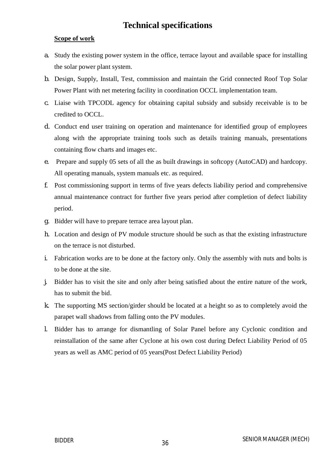## **Technical specifications**

#### **Scope of work**

- a. Study the existing power system in the office, terrace layout and available space for installing the solar power plant system.
- b. Design, Supply, Install, Test, commission and maintain the Grid connected Roof Top Solar Power Plant with net metering facility in coordination OCCL implementation team.
- c. Liaise with TPCODL agency for obtaining capital subsidy and subsidy receivable is to be credited to OCCL.
- d. Conduct end user training on operation and maintenance for identified group of employees along with the appropriate training tools such as details training manuals, presentations containing flow charts and images etc.
- e. Prepare and supply 05 sets of all the as built drawings in softcopy (AutoCAD) and hardcopy. All operating manuals, system manuals etc. as required.
- f. Post commissioning support in terms of five years defects liability period and comprehensive annual maintenance contract for further five years period after completion of defect liability period.
- g. Bidder will have to prepare terrace area layout plan.
- h. Location and design of PV module structure should be such as that the existing infrastructure on the terrace is not disturbed.
- i. Fabrication works are to be done at the factory only. Only the assembly with nuts and bolts is to be done at the site.
- j. Bidder has to visit the site and only after being satisfied about the entire nature of the work, has to submit the bid.
- k. The supporting MS section/girder should be located at a height so as to completely avoid the parapet wall shadows from falling onto the PV modules.
- l. Bidder has to arrange for dismantling of Solar Panel before any Cyclonic condition and reinstallation of the same after Cyclone at his own cost during Defect Liability Period of 05 years as well as AMC period of 05 years(Post Defect Liability Period)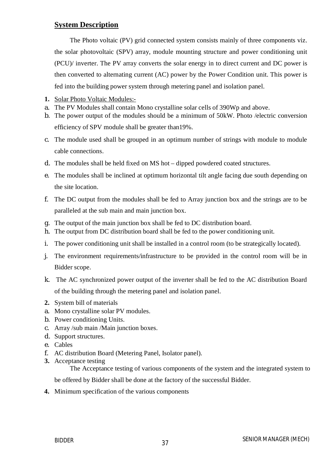### **System Description**

The Photo voltaic (PV) grid connected system consists mainly of three components viz. the solar photovoltaic (SPV) array, module mounting structure and power conditioning unit (PCU)/ inverter. The PV array converts the solar energy in to direct current and DC power is then converted to alternating current (AC) power by the Power Condition unit. This power is fed into the building power system through metering panel and isolation panel.

- **1.** Solar Photo Voltaic Modules:-
- a. The PV Modules shall contain Mono crystalline solar cells of 390Wp and above.
- b. The power output of the modules should be a minimum of 50kW. Photo /electric conversion efficiency of SPV module shall be greater than19%.
- c. The module used shall be grouped in an optimum number of strings with module to module cable connections.
- d. The modules shall be held fixed on MS hot dipped powdered coated structures.
- e. The modules shall be inclined at optimum horizontal tilt angle facing due south depending on the site location.
- f. The DC output from the modules shall be fed to Array junction box and the strings are to be paralleled at the sub main and main junction box.
- g. The output of the main junction box shall be fed to DC distribution board.
- h. The output from DC distribution board shall be fed to the power conditioning unit.
- i. The power conditioning unit shall be installed in a control room (to be strategically located).
- j. The environment requirements/infrastructure to be provided in the control room will be in Bidder scope.
- k. The AC synchronized power output of the inverter shall be fed to the AC distribution Board of the building through the metering panel and isolation panel.
- **2.** System bill of materials
- a. Mono crystalline solar PV modules.
- b. Power conditioning Units.
- c. Array /sub main /Main junction boxes.
- d. Support structures.
- e. Cables
- f. AC distribution Board (Metering Panel, Isolator panel).
- **3.** Acceptance testing

The Acceptance testing of various components of the system and the integrated system to

be offered by Bidder shall be done at the factory of the successful Bidder.

**4.** Minimum specification of the various components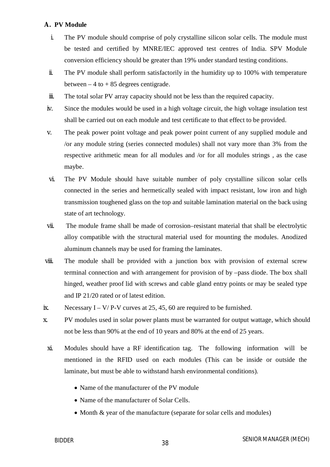#### **A. PV Module**

- i. The PV module should comprise of poly crystalline silicon solar cells. The module must be tested and certified by MNRE/IEC approved test centres of India. SPV Module conversion efficiency should be greater than 19% under standard testing conditions.
- ii. The PV module shall perform satisfactorily in the humidity up to 100% with temperature between  $-4$  to  $+85$  degrees centigrade.
- iii. The total solar PV array capacity should not be less than the required capacity.
- iv. Since the modules would be used in a high voltage circuit, the high voltage insulation test shall be carried out on each module and test certificate to that effect to be provided.
- v. The peak power point voltage and peak power point current of any supplied module and /or any module string (series connected modules) shall not vary more than 3% from the respective arithmetic mean for all modules and /or for all modules strings , as the case maybe.
- vi. The PV Module should have suitable number of poly crystalline silicon solar cells connected in the series and hermetically sealed with impact resistant, low iron and high transmission toughened glass on the top and suitable lamination material on the back using state of art technology.
- vii. The module frame shall be made of corrosion–resistant material that shall be electrolytic alloy compatible with the structural material used for mounting the modules. Anodized aluminum channels may be used for framing the laminates.
- viii. The module shall be provided with a junction box with provision of external screw terminal connection and with arrangement for provision of by –pass diode. The box shall hinged, weather proof lid with screws and cable gland entry points or may be sealed type and IP 21/20 rated or of latest edition.
- ix. Necessary  $I V/P-V$  curves at 25, 45, 60 are required to be furnished.
- x. PV modules used in solar power plants must be warranted for output wattage, which should not be less than 90% at the end of 10 years and 80% at the end of 25 years.
- xi. Modules should have a RF identification tag. The following information will be mentioned in the RFID used on each modules (This can be inside or outside the laminate, but must be able to withstand harsh environmental conditions).
	- Name of the manufacturer of the PV module
	- Name of the manufacturer of Solar Cells.
	- Month & year of the manufacture (separate for solar cells and modules)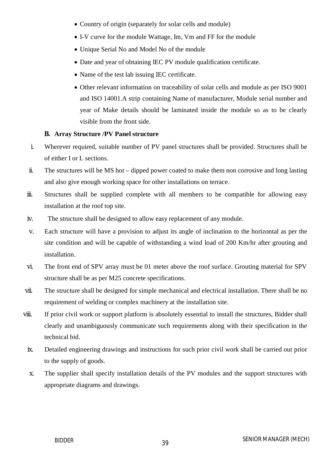- Country of origin (separately for solar cells and module)
- I-V curve for the module Wattage, Im, Vm and FF for the module
- Unique Serial No and Model No of the module
- Date and year of obtaining IEC PV module qualification certificate.
- Name of the test lab issuing IEC certificate.
- Other relevant information on traceability of solar cells and module as per ISO 9001 and ISO 14001.A strip containing Name of manufacturer, Module serial number and year of Make details should be laminated inside the module so as to be clearly visible from the front side.

#### **B. Array Structure /PV Panel structure**

- i. Wherever required, suitable number of PV panel structures shall be provided. Structures shall be of either I or L sections.
- ii. The structures will be MS hot dipped power coated to make them non corrosive and long lasting and also give enough working space for other installations on terrace.
- iii. Structures shall be supplied complete with all members to be compatible for allowing easy installation at the roof top site.
- iv. The structure shall be designed to allow easy replacement of any module.
- v. Each structure will have a provision to adjust its angle of inclination to the horizontal as per the site condition and will be capable of withstanding a wind load of 200 Km/hr after grouting and installation.
- vi. The front end of SPV array must be 01 meter above the roof surface. Grouting material for SPV structure shall be as per M25 concrete specifications.
- vii. The structure shall be designed for simple mechanical and electrical installation. There shall be no requirement of welding or complex machinery at the installation site.
- viii. If prior civil work or support platform is absolutely essential to install the structures, Bidder shall clearly and unambiguously communicate such requirements along with their specification in the technical bid.
	- ix. Detailed engineering drawings and instructions for such prior civil work shall be carried out prior to the supply of goods.
	- x. The supplier shall specify installation details of the PV modules and the support structures with appropriate diagrams and drawings.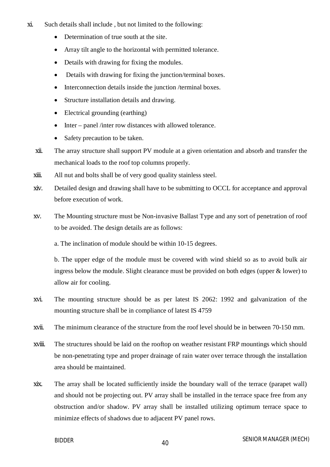- xi. Such details shall include , but not limited to the following:
	- Determination of true south at the site.
	- Array tilt angle to the horizontal with permitted tolerance.
	- Details with drawing for fixing the modules.
	- Details with drawing for fixing the junction/terminal boxes.
	- Interconnection details inside the junction /terminal boxes.
	- Structure installation details and drawing.
	- Electrical grounding (earthing)
	- Inter panel /inter row distances with allowed tolerance.
	- Safety precaution to be taken.
	- xii. The array structure shall support PV module at a given orientation and absorb and transfer the mechanical loads to the roof top columns properly.
	- xiii. All nut and bolts shall be of very good quality stainless steel.
	- xiv. Detailed design and drawing shall have to be submitting to OCCL for acceptance and approval before execution of work.
	- xv. The Mounting structure must be Non-invasive Ballast Type and any sort of penetration of roof to be avoided. The design details are as follows:
		- a. The inclination of module should be within 10-15 degrees.

b. The upper edge of the module must be covered with wind shield so as to avoid bulk air ingress below the module. Slight clearance must be provided on both edges (upper & lower) to allow air for cooling.

- xvi. The mounting structure should be as per latest IS 2062: 1992 and galvanization of the mounting structure shall be in compliance of latest IS 4759
- xvii. The minimum clearance of the structure from the roof level should be in between 70-150 mm.
- xviii. The structures should be laid on the rooftop on weather resistant FRP mountings which should be non-penetrating type and proper drainage of rain water over terrace through the installation area should be maintained.
- xix. The array shall be located sufficiently inside the boundary wall of the terrace (parapet wall) and should not be projecting out. PV array shall be installed in the terrace space free from any obstruction and/or shadow. PV array shall be installed utilizing optimum terrace space to minimize effects of shadows due to adjacent PV panel rows.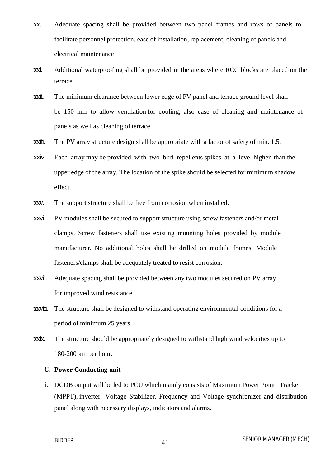- xx. Adequate spacing shall be provided between two panel frames and rows of panels to facilitate personnel protection, ease of installation, replacement, cleaning of panels and electrical maintenance.
- xxi. Additional waterproofing shall be provided in the areas where RCC blocks are placed on the terrace.
- xxii. The minimum clearance between lower edge of PV panel and terrace ground level shall be 150 mm to allow ventilation for cooling, also ease of cleaning and maintenance of panels as well as cleaning of terrace.
- xxiii. The PV array structure design shall be appropriate with a factor of safety of min. 1.5.
- xxiv. Each array may be provided with two bird repellents spikes at a level higher than the upper edge of the array. The location of the spike should be selected for minimum shadow effect.
- xxv. The support structure shall be free from corrosion when installed.
- xxvi. PV modules shall be secured to support structure using screw fasteners and/or metal clamps. Screw fasteners shall use existing mounting holes provided by module manufacturer. No additional holes shall be drilled on module frames. Module fasteners/clamps shall be adequately treated to resist corrosion.
- xxvii. Adequate spacing shall be provided between any two modules secured on PV array for improved wind resistance.
- xxviii. The structure shall be designed to withstand operating environmental conditions for a period of minimum 25 years.
- xxix. The structure should be appropriately designed to withstand high wind velocities up to 180-200 km per hour.

#### **C. Power Conducting unit**

i. DCDB output will be fed to PCU which mainly consists of Maximum Power Point Tracker (MPPT), inverter, Voltage Stabilizer, Frequency and Voltage synchronizer and distribution panel along with necessary displays, indicators and alarms.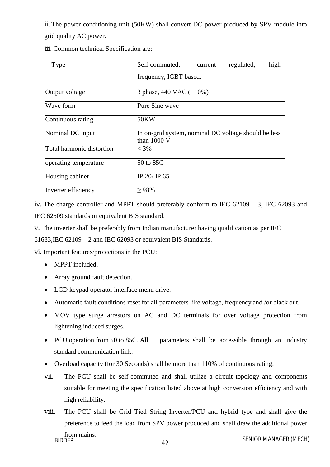ii. The power conditioning unit (50KW) shall convert DC power produced by SPV module into grid quality AC power.

|  | iii. Common technical Specification are: |  |  |  |  |
|--|------------------------------------------|--|--|--|--|
|--|------------------------------------------|--|--|--|--|

| Type                      | Self-commuted,                                                      | current | regulated, | high |
|---------------------------|---------------------------------------------------------------------|---------|------------|------|
|                           | frequency, IGBT based.                                              |         |            |      |
| Output voltage            | 3 phase, $440$ VAC $(+10\%)$                                        |         |            |      |
| Wave form                 | Pure Sine wave                                                      |         |            |      |
| Continuous rating         | 50KW                                                                |         |            |      |
| Nominal DC input          | In on-grid system, nominal DC voltage should be less<br>than 1000 V |         |            |      |
| Total harmonic distortion | $<$ 3%                                                              |         |            |      |
| operating temperature     | 50 to 85C                                                           |         |            |      |
| Housing cabinet           | IP 20/ IP 65                                                        |         |            |      |
| Inverter efficiency       | $>98\%$                                                             |         |            |      |

iv. The charge controller and MPPT should preferably conform to IEC 62109 – 3, IEC 62093 and IEC 62509 standards or equivalent BIS standard.

v. The inverter shall be preferably from Indian manufacturer having qualification as per IEC

61683,IEC 62109 – 2 and IEC 62093 or equivalent BIS Standards.

vi. Important features/protections in the PCU:

- MPPT included.
- Array ground fault detection.
- LCD keypad operator interface menu drive.
- Automatic fault conditions reset for all parameters like voltage, frequency and /or black out.
- MOV type surge arrestors on AC and DC terminals for over voltage protection from lightening induced surges.
- PCU operation from 50 to 85C. All parameters shall be accessible through an industry standard communication link.
- Overload capacity (for 30 Seconds) shall be more than 110% of continuous rating.
- vii. The PCU shall be self-commuted and shall utilize a circuit topology and components suitable for meeting the specification listed above at high conversion efficiency and with high reliability.
- BIDDER MANAGER (MECH) viii. The PCU shall be Grid Tied String Inverter/PCU and hybrid type and shall give the preference to feed the load from SPV power produced and shall draw the additional power from mains.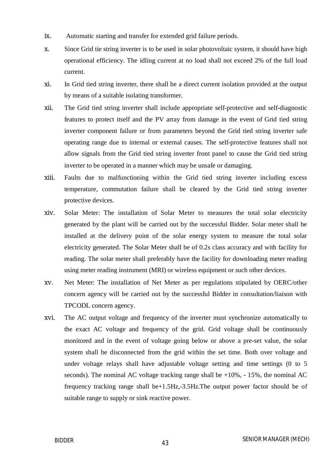- ix. Automatic starting and transfer for extended grid failure periods.
- x. Since Grid tie string inverter is to be used in solar photovoltaic system, it should have high operational efficiency. The idling current at no load shall not exceed 2% of the full load current.
- xi. In Grid tied string inverter, there shall be a direct current isolation provided at the output by means of a suitable isolating transformer.
- xii. The Grid tied string inverter shall include appropriate self-protective and self-diagnostic features to protect itself and the PV array from damage in the event of Grid tied string inverter component failure or from parameters beyond the Grid tied string inverter safe operating range due to internal or external causes. The self-protective features shall not allow signals from the Grid tied string inverter front panel to cause the Grid tied string inverter to be operated in a manner which may be unsafe or damaging.
- xiii. Faults due to malfunctioning within the Grid tied string inverter including excess temperature, commutation failure shall be cleared by the Grid tied string inverter protective devices.
- xiv. Solar Meter: The installation of Solar Meter to measures the total solar electricity generated by the plant will be carried out by the successful Bidder. Solar meter shall be installed at the delivery point of the solar energy system to measure the total solar electricity generated. The Solar Meter shall be of 0.2s class accuracy and with facility for reading. The solar meter shall preferably have the facility for downloading meter reading using meter reading instrument (MRI) or wireless equipment or such other devices.
- xv. Net Meter: The installation of Net Meter as per regulations stipulated by OERC/other concern agency will be carried out by the successful Bidder in consultation/liaison with TPCODL concern agency.
- xvi. The AC output voltage and frequency of the inverter must synchronize automatically to the exact AC voltage and frequency of the grid. Grid voltage shall be continuously monitored and in the event of voltage going below or above a pre-set value, the solar system shall be disconnected from the grid within the set time. Both over voltage and under voltage relays shall have adjustable voltage setting and time settings (0 to 5 seconds). The nominal AC voltage tracking range shall be  $+10\%$ ,  $-15\%$ , the nominal AC frequency tracking range shall be+1.5Hz,-3.5Hz.The output power factor should be of suitable range to supply or sink reactive power.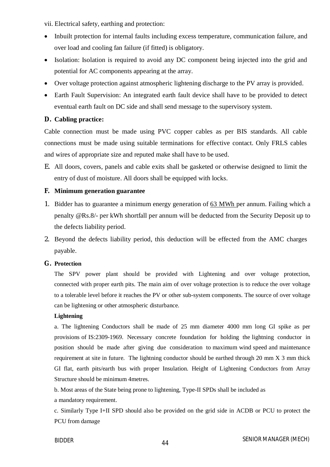vii. Electrical safety, earthing and protection:

- Inbuilt protection for internal faults including excess temperature, communication failure, and over load and cooling fan failure (if fitted) is obligatory.
- Isolation: Isolation is required to avoid any DC component being injected into the grid and potential for AC components appearing at the array.
- Over voltage protection against atmospheric lightening discharge to the PV array is provided.
- Earth Fault Supervision: An integrated earth fault device shall have to be provided to detect eventual earth fault on DC side and shall send message to the supervisory system.

#### **D. Cabling practice:**

Cable connection must be made using PVC copper cables as per BIS standards. All cable connections must be made using suitable terminations for effective contact. Only FRLS cables and wires of appropriate size and reputed make shall have to be used.

E. All doors, covers, panels and cable exits shall be gasketed or otherwise designed to limit the entry of dust of moisture. All doors shall be equipped with locks.

#### **F. Minimum generation guarantee**

- 1. Bidder has to guarantee a minimum energy generation of 63 MWh per annum. Failing which a penalty @Rs.8/- per kWh shortfall per annum will be deducted from the Security Deposit up to the defects liability period.
- 2. Beyond the defects liability period, this deduction will be effected from the AMC charges payable.

#### **G. Protection**

The SPV power plant should be provided with Lightening and over voltage protection, connected with proper earth pits. The main aim of over voltage protection is to reduce the over voltage to a tolerable level before it reaches the PV or other sub-system components. The source of over voltage can be lightening or other atmospheric disturbance.

#### **Lightening**

a. The lightening Conductors shall be made of 25 mm diameter 4000 mm long GI spike as per provisions of IS:2309-1969. Necessary concrete foundation for holding the lightning conductor in position should be made after giving due consideration to maximum wind speed and maintenance requirement at site in future. The lightning conductor should be earthed through 20 mm X 3 mm thick GI flat, earth pits/earth bus with proper Insulation. Height of Lightening Conductors from Array Structure should be minimum 4metres.

b. Most areas of the State being prone to lightening, Type-II SPDs shall be included as

a mandatory requirement.

c. Similarly Type I+II SPD should also be provided on the grid side in ACDB or PCU to protect the PCU from damage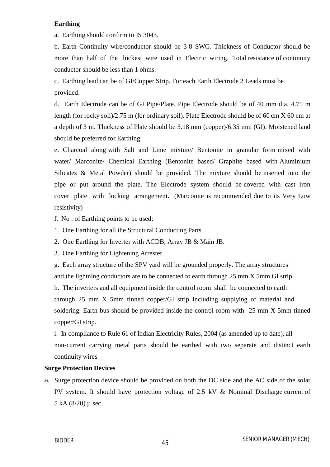#### **Earthing**

a. Earthing should confirm to IS 3043.

b. Earth Continuity wire/conductor should be 3-8 SWG. Thickness of Conductor should be more than half of the thickest wire used in Electric wiring. Total resistance of continuity conductor should be less than 1 ohms.

c. Earthing lead can be of GI/Copper Strip. For each Earth Electrode 2 Leads must be provided.

d. Earth Electrode can be of GI Pipe/Plate. Pipe Electrode should be of 40 mm dia, 4.75 m length (for rocky soil)/2.75 m (for ordinary soil). Plate Electrode should be of 60 cm X 60 cm at a depth of 3 m. Thickness of Plate should be 3.18 mm (copper)/6.35 mm (GI). Moistened land should be preferred for Earthing.

e. Charcoal along with Salt and Lime mixture/ Bentonite in granular form mixed with water/ Marconite/ Chemical Earthing (Bentonite based/ Graphite based with Aluminium Silicates & Metal Powder) should be provided. The mixture should be inserted into the pipe or put around the plate. The Electrode system should be covered with cast iron cover plate with locking arrangement. (Marconite is recommended due to its Very Low resistivity)

- f. No . of Earthing points to be used:
- 1. One Earthing for all the Structural Conducting Parts
- 2. One Earthing for Inverter with ACDB, Array JB & Main JB.
- 3. One Earthing for Lightening Arrester.

g. Each array structure of the SPV yard will be grounded properly. The array structures and the lightning conductors are to be connected to earth through 25 mm X 5mm GI strip.

h. The inverters and all equipment inside the control room shall be connected to earth through 25 mm X 5mm tinned copper/GI strip including supplying of material and soldering. Earth bus should be provided inside the control room with 25 mm X 5mm tinned copper/GI strip.

i. In compliance to Rule 61 of Indian Electricity Rules, 2004 (as amended up to date), all non-current carrying metal parts should be earthed with two separate and distinct earth continuity wires

#### **Surge Protection Devices**

a. Surge protection device should be provided on both the DC side and the AC side of the solar PV system. It should have protection voltage of 2.5 kV & Nominal Discharge current of 5 kA  $(8/20)$  µ sec.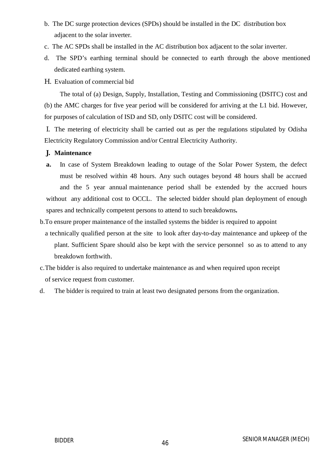- b. The DC surge protection devices (SPDs) should be installed in the DC distribution box adjacent to the solar inverter.
- c. The AC SPDs shall be installed in the AC distribution box adjacent to the solar inverter.
- d. The SPD's earthing terminal should be connected to earth through the above mentioned dedicated earthing system.
- H. Evaluation of commercial bid

The total of (a) Design, Supply, Installation, Testing and Commissioning (DSITC) cost and (b) the AMC charges for five year period will be considered for arriving at the L1 bid. However, for purposes of calculation of ISD and SD, only DSITC cost will be considered.

I. The metering of electricity shall be carried out as per the regulations stipulated by Odisha Electricity Regulatory Commission and/or Central Electricity Authority.

#### **J. Maintenance**

- **a.** In case of System Breakdown leading to outage of the Solar Power System, the defect must be resolved within 48 hours. Any such outages beyond 48 hours shall be accrued and the 5 year annual maintenance period shall be extended by the accrued hours without any additional cost to OCCL. The selected bidder should plan deployment of enough spares and technically competent persons to attend to such breakdowns**.**
- b.To ensure proper maintenance of the installed systems the bidder is required to appoint
- a technically qualified person at the site to look after day-to-day maintenance and upkeep of the plant. Sufficient Spare should also be kept with the service personnel so as to attend to any breakdown forthwith.
- c.The bidder is also required to undertake maintenance as and when required upon receipt of service request from customer.
- d. The bidder is required to train at least two designated persons from the organization.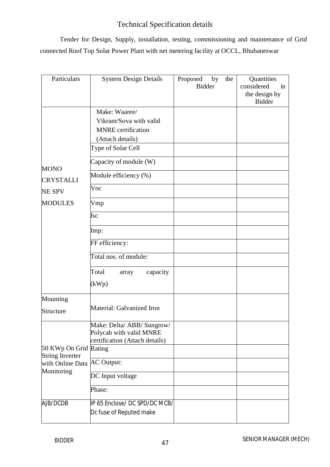### Technical Specification details

Tender for Design, Supply, installation, testing, commissioning and maintenance of Grid connected Roof Top Solar Power Plant with net metering facility at OCCL, Bhubaneswar

| Particulars                                              | <b>System Design Details</b>                                                                                                                                      | Proposed<br>by<br><b>Bidder</b> | the | Quantities<br>considered<br>in<br>the design by<br><b>Bidder</b> |
|----------------------------------------------------------|-------------------------------------------------------------------------------------------------------------------------------------------------------------------|---------------------------------|-----|------------------------------------------------------------------|
| <b>MONO</b>                                              | Make: Waaree/<br>Vikram/Sova with valid<br><b>MNRE</b> certification<br>(Attach details)<br>Type of Solar Cell<br>Capacity of module (W)<br>Module efficiency (%) |                                 |     |                                                                  |
| <b>CRYSTALLI</b><br><b>NE SPV</b>                        | Voc                                                                                                                                                               |                                 |     |                                                                  |
| <b>MODULES</b>                                           | Vmp<br>Isc                                                                                                                                                        |                                 |     |                                                                  |
|                                                          | Imp:                                                                                                                                                              |                                 |     |                                                                  |
|                                                          | FF efficiency:<br>Total nos. of module:                                                                                                                           |                                 |     |                                                                  |
|                                                          | Total<br>capacity<br>array<br>(kWp)                                                                                                                               |                                 |     |                                                                  |
| Mounting<br>Structure                                    | Material: Galvanized Iron                                                                                                                                         |                                 |     |                                                                  |
| 50 KWp On Grid Rating                                    | Make: Delta/ ABB/ Sungrow/<br>Polycab with valid MNRE<br>certification (Attach details)                                                                           |                                 |     |                                                                  |
| <b>String Inverter</b><br>with Online Data<br>Monitoring | <b>AC Output:</b>                                                                                                                                                 |                                 |     |                                                                  |
|                                                          | DC Input voltage                                                                                                                                                  |                                 |     |                                                                  |
|                                                          | Phase:                                                                                                                                                            |                                 |     |                                                                  |
| AJB/DCDB                                                 | IP 65 Enclose/ DC SPD/DC MCB/<br>Dc fuse of Reputed make                                                                                                          |                                 |     |                                                                  |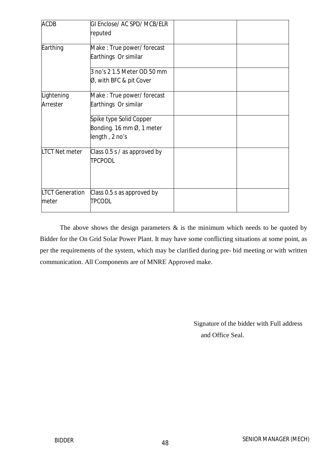| <b>ACDB</b>                     | GI Enclose/ AC SPD/ MCB/ELR<br>reputed                                 |  |
|---------------------------------|------------------------------------------------------------------------|--|
| Earthing                        | Make: True power/forecast<br>Earthings Or similar                      |  |
|                                 | 3 no's 2 1.5 Meter OD 50 mm<br>Ø, with BFC & pit Cover                 |  |
| Lightening<br>Arrester          | Make: True power/forecast<br>Earthings Or similar                      |  |
|                                 | Spike type Solid Copper<br>Bonding. 16 mm Ø, 1 meter<br>length, 2 no's |  |
| <b>LTCT Net meter</b>           | Class $0.5 s / as$ approved by<br><b>TPCPODL</b>                       |  |
| <b>LTCT Generation</b><br>meter | Class 0.5 s as approved by<br>itpcodl                                  |  |

The above shows the design parameters  $\&$  is the minimum which needs to be quoted by Bidder for the On Grid Solar Power Plant. It may have some conflicting situations at some point, as per the requirements of the system, which may be clarified during pre- bid meeting or with written communication. All Components are of MNRE Approved make.

> Signature of the bidder with Full address and Office Seal.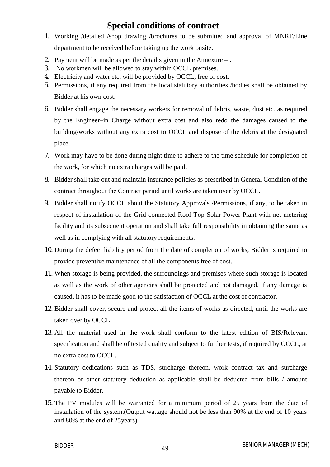### **Special conditions of contract**

- 1. Working /detailed /shop drawing /brochures to be submitted and approval of MNRE/Line department to be received before taking up the work onsite.
- 2. Payment will be made as per the detail s given in the Annexure –I.
- 3. No workmen will be allowed to stay within OCCL premises.
- 4. Electricity and water etc. will be provided by OCCL, free of cost.
- 5. Permissions, if any required from the local statutory authorities /bodies shall be obtained by Bidder at his own cost.
- 6. Bidder shall engage the necessary workers for removal of debris, waste, dust etc. as required by the Engineer–in Charge without extra cost and also redo the damages caused to the building/works without any extra cost to OCCL and dispose of the debris at the designated place.
- 7. Work may have to be done during night time to adhere to the time schedule for completion of the work, for which no extra charges will be paid.
- 8. Bidder shall take out and maintain insurance policies as prescribed in General Condition of the contract throughout the Contract period until works are taken over by OCCL.
- 9. Bidder shall notify OCCL about the Statutory Approvals /Permissions, if any, to be taken in respect of installation of the Grid connected Roof Top Solar Power Plant with net metering facility and its subsequent operation and shall take full responsibility in obtaining the same as well as in complying with all statutory requirements.
- 10. During the defect liability period from the date of completion of works, Bidder is required to provide preventive maintenance of all the components free of cost.
- 11. When storage is being provided, the surroundings and premises where such storage is located as well as the work of other agencies shall be protected and not damaged, if any damage is caused, it has to be made good to the satisfaction of OCCL at the cost of contractor.
- 12. Bidder shall cover, secure and protect all the items of works as directed, until the works are taken over by OCCL.
- 13. All the material used in the work shall conform to the latest edition of BIS/Relevant specification and shall be of tested quality and subject to further tests, if required by OCCL, at no extra cost to OCCL.
- 14. Statutory dedications such as TDS, surcharge thereon, work contract tax and surcharge thereon or other statutory deduction as applicable shall be deducted from bills / amount payable to Bidder.
- 15. The PV modules will be warranted for a minimum period of 25 years from the date of installation of the system.(Output wattage should not be less than 90% at the end of 10 years and 80% at the end of 25years).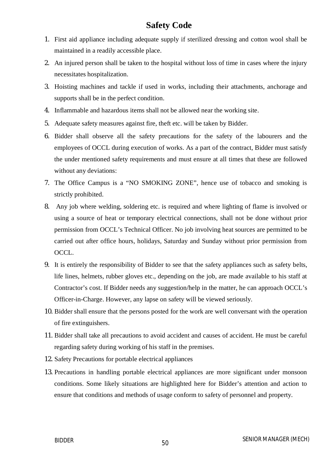### **Safety Code**

- 1. First aid appliance including adequate supply if sterilized dressing and cotton wool shall be maintained in a readily accessible place.
- 2. An injured person shall be taken to the hospital without loss of time in cases where the injury necessitates hospitalization.
- 3. Hoisting machines and tackle if used in works, including their attachments, anchorage and supports shall be in the perfect condition.
- 4. Inflammable and hazardous items shall not be allowed near the working site.
- 5. Adequate safety measures against fire, theft etc. will be taken by Bidder.
- 6. Bidder shall observe all the safety precautions for the safety of the labourers and the employees of OCCL during execution of works. As a part of the contract, Bidder must satisfy the under mentioned safety requirements and must ensure at all times that these are followed without any deviations:
- 7. The Office Campus is a "NO SMOKING ZONE", hence use of tobacco and smoking is strictly prohibited.
- 8. Any job where welding, soldering etc. is required and where lighting of flame is involved or using a source of heat or temporary electrical connections, shall not be done without prior permission from OCCL's Technical Officer. No job involving heat sources are permitted to be carried out after office hours, holidays, Saturday and Sunday without prior permission from OCCL.
- 9. It is entirely the responsibility of Bidder to see that the safety appliances such as safety belts, life lines, helmets, rubber gloves etc., depending on the job, are made available to his staff at Contractor's cost. If Bidder needs any suggestion/help in the matter, he can approach OCCL's Officer-in-Charge. However, any lapse on safety will be viewed seriously.
- 10. Bidder shall ensure that the persons posted for the work are well conversant with the operation of fire extinguishers.
- 11. Bidder shall take all precautions to avoid accident and causes of accident. He must be careful regarding safety during working of his staff in the premises.
- 12. Safety Precautions for portable electrical appliances
- 13. Precautions in handling portable electrical appliances are more significant under monsoon conditions. Some likely situations are highlighted here for Bidder's attention and action to ensure that conditions and methods of usage conform to safety of personnel and property.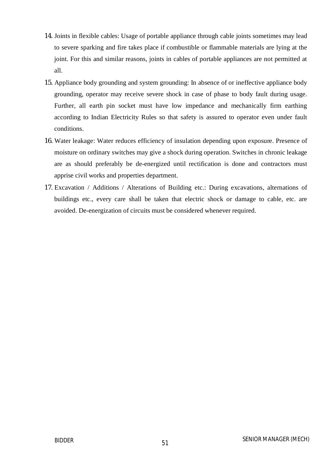- 14. Joints in flexible cables: Usage of portable appliance through cable joints sometimes may lead to severe sparking and fire takes place if combustible or flammable materials are lying at the joint. For this and similar reasons, joints in cables of portable appliances are not permitted at all.
- 15. Appliance body grounding and system grounding: In absence of or ineffective appliance body grounding, operator may receive severe shock in case of phase to body fault during usage. Further, all earth pin socket must have low impedance and mechanically firm earthing according to Indian Electricity Rules so that safety is assured to operator even under fault conditions.
- 16. Water leakage: Water reduces efficiency of insulation depending upon exposure. Presence of moisture on ordinary switches may give a shock during operation. Switches in chronic leakage are as should preferably be de-energized until rectification is done and contractors must apprise civil works and properties department.
- 17. Excavation / Additions / Alterations of Building etc.: During excavations, alternations of buildings etc., every care shall be taken that electric shock or damage to cable, etc. are avoided. De-energization of circuits must be considered whenever required.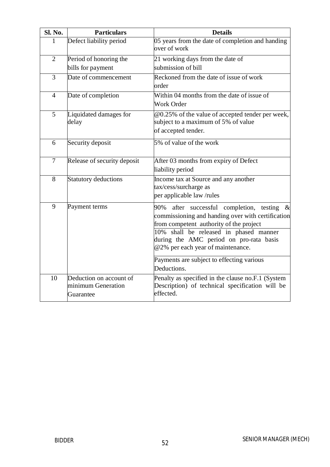| Sl. No.        | <b>Particulars</b>                                         | <b>Details</b>                                                                                                                                                                                                                                                                |
|----------------|------------------------------------------------------------|-------------------------------------------------------------------------------------------------------------------------------------------------------------------------------------------------------------------------------------------------------------------------------|
| 1              | Defect liability period                                    | 05 years from the date of completion and handing<br>over of work                                                                                                                                                                                                              |
| $\overline{2}$ | Period of honoring the                                     | 21 working days from the date of                                                                                                                                                                                                                                              |
|                | bills for payment                                          | submission of bill                                                                                                                                                                                                                                                            |
| 3              | Date of commencement                                       | Reckoned from the date of issue of work<br>order                                                                                                                                                                                                                              |
| $\overline{4}$ | Date of completion                                         | Within 04 months from the date of issue of<br><b>Work Order</b>                                                                                                                                                                                                               |
| 5              | Liquidated damages for<br>delay                            | @0.25% of the value of accepted tender per week,<br>subject to a maximum of 5% of value<br>of accepted tender.                                                                                                                                                                |
| 6              | Security deposit                                           | 5% of value of the work                                                                                                                                                                                                                                                       |
| 7              | Release of security deposit                                | After 03 months from expiry of Defect<br>liability period                                                                                                                                                                                                                     |
| 8              | <b>Statutory deductions</b>                                | Income tax at Source and any another<br>tax/cess/surcharge as<br>per applicable law/rules                                                                                                                                                                                     |
| 9              | Payment terms                                              | after successful completion, testing<br>90%<br>$\&$<br>commissioning and handing over with certification<br>from competent authority of the project<br>10% shall be released in phased manner<br>during the AMC period on pro-rata basis<br>@2% per each year of maintenance. |
|                |                                                            | Payments are subject to effecting various<br>Deductions.                                                                                                                                                                                                                      |
| 10             | Deduction on account of<br>minimum Generation<br>Guarantee | Penalty as specified in the clause no.F.1 (System<br>Description) of technical specification will be<br>effected.                                                                                                                                                             |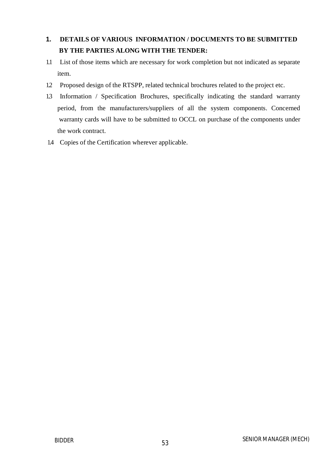### **1. DETAILS OF VARIOUS INFORMATION / DOCUMENTS TO BE SUBMITTED BY THE PARTIES ALONG WITH THE TENDER:**

- 1.1 List of those items which are necessary for work completion but not indicated as separate item.
- 1.2 Proposed design of the RTSPP, related technical brochures related to the project etc.
- 1.3 Information / Specification Brochures, specifically indicating the standard warranty period, from the manufacturers/suppliers of all the system components. Concerned warranty cards will have to be submitted to OCCL on purchase of the components under the work contract.
- 1.4 Copies of the Certification wherever applicable.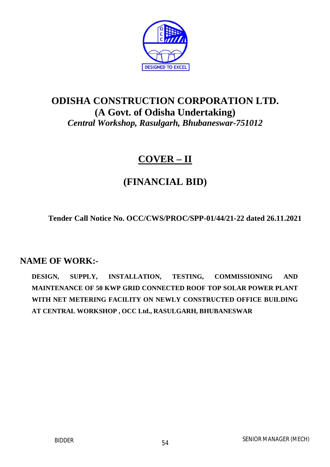

# **ODISHA CONSTRUCTION CORPORATION LTD. (A Govt. of Odisha Undertaking)** *Central Workshop, Rasulgarh, Bhubaneswar-751012*

# **COVER – II**

# **(FINANCIAL BID)**

**Tender Call Notice No. OCC/CWS/PROC/SPP-01/44/21-22 dated 26.11.2021**

### **NAME OF WORK:-**

**DESIGN, SUPPLY, INSTALLATION, TESTING, COMMISSIONING AND MAINTENANCE OF 50 KWP GRID CONNECTED ROOF TOP SOLAR POWER PLANT WITH NET METERING FACILITY ON NEWLY CONSTRUCTED OFFICE BUILDING AT CENTRAL WORKSHOP , OCC Ltd., RASULGARH, BHUBANESWAR**